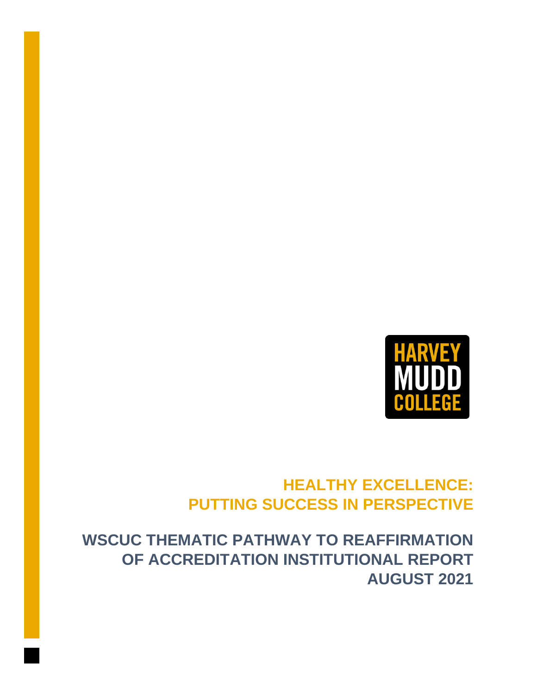

# **HEALTHY EXCELLENCE: PUTTING SUCCESS IN PERSPECTIVE**

**WSCUC THEMATIC PATHWAY TO REAFFIRMATION OF ACCREDITATION INSTITUTIONAL REPORT AUGUST 2021**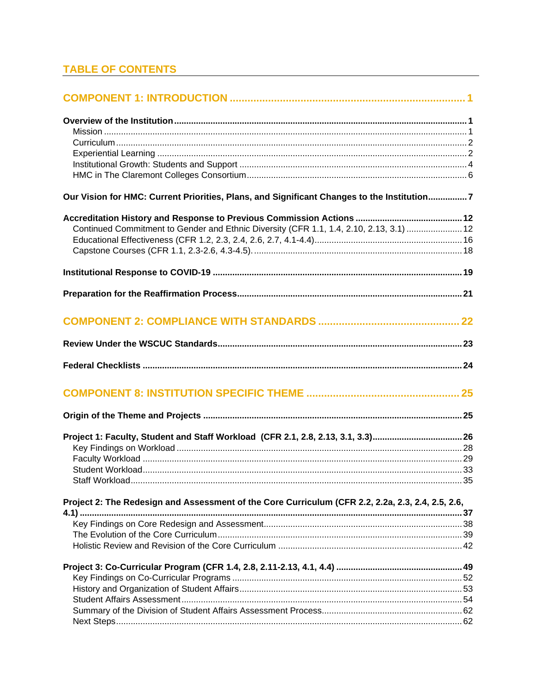## **TABLE OF CONTENTS**

| Our Vision for HMC: Current Priorities, Plans, and Significant Changes to the Institution7        |  |
|---------------------------------------------------------------------------------------------------|--|
|                                                                                                   |  |
| Continued Commitment to Gender and Ethnic Diversity (CFR 1.1, 1.4, 2.10, 2.13, 3.1)  12           |  |
|                                                                                                   |  |
|                                                                                                   |  |
|                                                                                                   |  |
|                                                                                                   |  |
|                                                                                                   |  |
|                                                                                                   |  |
|                                                                                                   |  |
|                                                                                                   |  |
|                                                                                                   |  |
|                                                                                                   |  |
| Project 1: Faculty, Student and Staff Workload (CFR 2.1, 2.8, 2.13, 3.1, 3.3)26                   |  |
|                                                                                                   |  |
|                                                                                                   |  |
|                                                                                                   |  |
| Staff Workload.                                                                                   |  |
| Project 2: The Redesign and Assessment of the Core Curriculum (CFR 2.2, 2.2a, 2.3, 2.4, 2.5, 2.6, |  |
|                                                                                                   |  |
|                                                                                                   |  |
|                                                                                                   |  |
|                                                                                                   |  |
|                                                                                                   |  |
|                                                                                                   |  |
|                                                                                                   |  |
|                                                                                                   |  |
|                                                                                                   |  |
|                                                                                                   |  |
|                                                                                                   |  |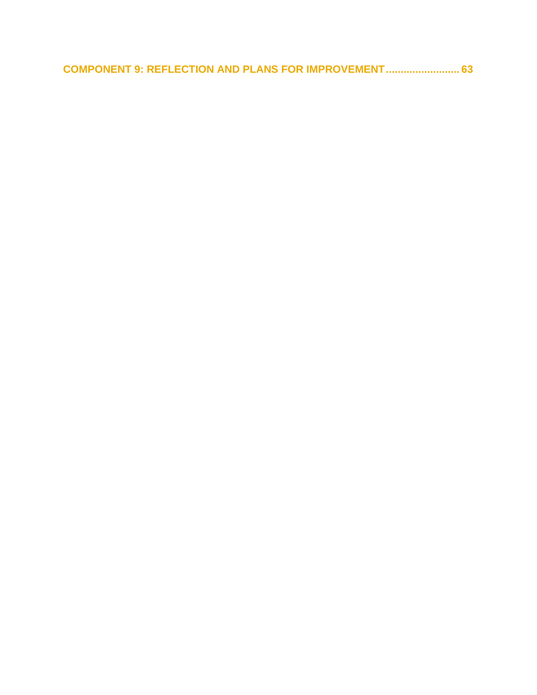**[COMPONENT 9: REFLECTION AND PLANS FOR IMPROVEMENT.........................](#page-65-0) 63**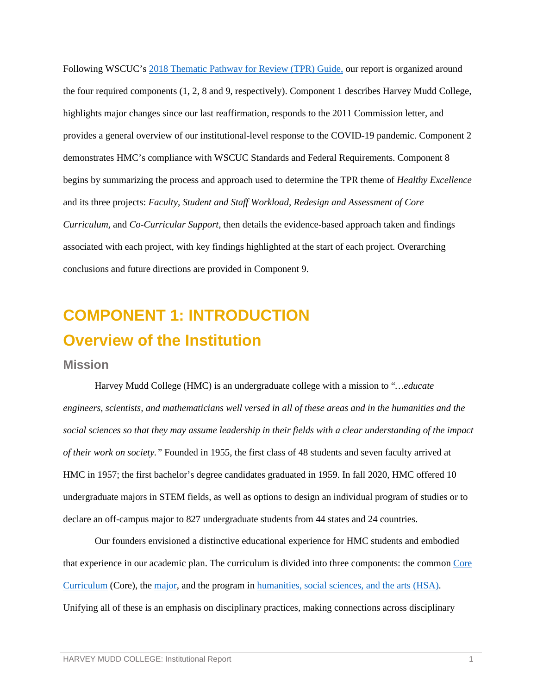Following WSCUC's [2018 Thematic Pathway for Review \(TPR\) Guide,](https://wascsenior.app.box.com/s/tyxgpoogxggixx9lvfoxxm9pah9k07aj) our report is organized around the four required components (1, 2, 8 and 9, respectively). Component 1 describes Harvey Mudd College, highlights major changes since our last reaffirmation, responds to the 2011 Commission letter, and provides a general overview of our institutional-level response to the COVID-19 pandemic. Component 2 demonstrates HMC's compliance with WSCUC Standards and Federal Requirements. Component 8 begins by summarizing the process and approach used to determine the TPR theme of *Healthy Excellence* and its three projects: *Faculty, Student and Staff Workload, Redesign and Assessment of Core Curriculum,* and *Co-Curricular Support*, then details the evidence-based approach taken and findings associated with each project, with key findings highlighted at the start of each project. Overarching conclusions and future directions are provided in Component 9.

# <span id="page-3-1"></span><span id="page-3-0"></span>**COMPONENT 1: INTRODUCTION Overview of the Institution**

#### <span id="page-3-2"></span>**Mission**

Harvey Mudd College (HMC) is an undergraduate college with a mission to "*…educate engineers, scientists, and mathematicians well versed in all of these areas and in the humanities and the social sciences so that they may assume leadership in their fields with a clear understanding of the impact of their work on society."* Founded in 1955, the first class of 48 students and seven faculty arrived at HMC in 1957; the first bachelor's degree candidates graduated in 1959. In fall 2020, HMC offered 10 undergraduate majors in STEM fields, as well as options to design an individual program of studies or to declare an off-campus major to 827 undergraduate students from 44 states and 24 countries.

Our founders envisioned a distinctive educational experience for HMC students and embodied that experience in our academic plan. The curriculum is divided into three components: the commo[n Core](https://www.hmc.edu/academics/common-core-curriculum/)  [Curriculum](https://www.hmc.edu/academics/common-core-curriculum/) (Core), the [major,](https://www.hmc.edu/academics/majors-at-harvey-mudd/) and the program in [humanities, social sciences, and the arts \(HSA\).](https://www.hmc.edu/hsa/) Unifying all of these is an emphasis on disciplinary practices, making connections across disciplinary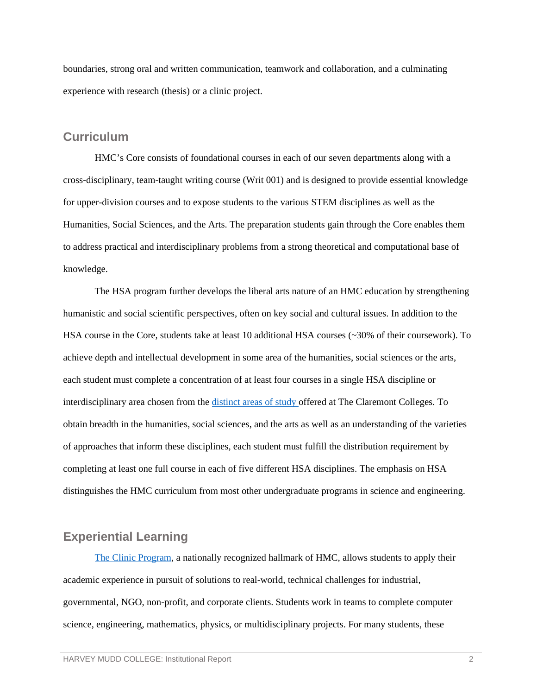boundaries, strong oral and written communication, teamwork and collaboration, and a culminating experience with research (thesis) or a clinic project.

#### <span id="page-4-0"></span>**Curriculum**

HMC's Core consists of foundational courses in each of our seven departments along with a cross-disciplinary, team-taught writing course (Writ 001) and is designed to provide essential knowledge for upper-division courses and to expose students to the various STEM disciplines as well as the Humanities, Social Sciences, and the Arts. The preparation students gain through the Core enables them to address practical and interdisciplinary problems from a strong theoretical and computational base of knowledge.

The HSA program further develops the liberal arts nature of an HMC education by strengthening humanistic and social scientific perspectives, often on key social and cultural issues. In addition to the HSA course in the Core, students take at least 10 additional HSA courses (~30% of their coursework). To achieve depth and intellectual development in some area of the humanities, social sciences or the arts, each student must complete a concentration of at least four courses in a single HSA discipline or interdisciplinary area chosen from the [distinct areas of study o](https://www.hmc.edu/hsa/curriculum/approved-concentrations/)ffered at The Claremont Colleges. To obtain breadth in the humanities, social sciences, and the arts as well as an understanding of the varieties of approaches that inform these disciplines, each student must fulfill the distribution requirement by completing at least one full course in each of five different HSA disciplines. The emphasis on HSA distinguishes the HMC curriculum from most other undergraduate programs in science and engineering.

#### <span id="page-4-1"></span>**Experiential Learning**

[The Clinic Program,](https://www.hmc.edu/clinic/) a nationally recognized hallmark of HMC, allows students to apply their academic experience in pursuit of solutions to real-world, technical challenges for industrial, governmental, NGO, non-profit, and corporate clients. Students work in teams to complete computer science, engineering, mathematics, physics, or multidisciplinary projects. For many students, these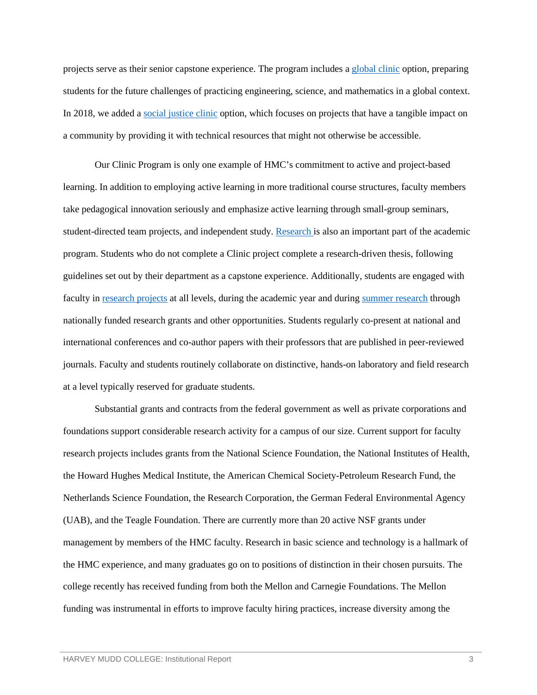projects serve as their senior capstone experience. The program includes a [global clinic](https://www.hmc.edu/clinic/impact-on-society-2/global-clinic-projects-by-year/) option, preparing students for the future challenges of practicing engineering, science, and mathematics in a global context. In 2018, we added [a social justice clinic](https://www.hmc.edu/clinic/impact-on-society-2/social-justice-clinic-projects-by-year/) option, which focuses on projects that have a tangible impact on a community by providing it with technical resources that might not otherwise be accessible.

Our Clinic Program is only one example of HMC's commitment to active and project-based learning. In addition to employing active learning in more traditional course structures, faculty members take pedagogical innovation seriously and emphasize active learning through small-group seminars, student-directed team projects, and independent study. [Research](https://www.hmc.edu/research/) is also an important part of the academic program. Students who do not complete a Clinic project complete a research-driven thesis, following guidelines set out by their department as a capstone experience. Additionally, students are engaged with faculty i[n research projects](https://www.hmc.edu/research/student-research-opportunities/) at all levels, during the academic year and during [summer research](https://www.hmc.edu/research/summer-research-and-scholarship/) through nationally funded research grants and other opportunities. Students regularly co-present at national and international conferences and co-author papers with their professors that are published in peer-reviewed journals. Faculty and students routinely collaborate on distinctive, hands-on laboratory and field research at a level typically reserved for graduate students.

Substantial grants and contracts from the federal government as well as private corporations and foundations support considerable research activity for a campus of our size. Current support for faculty research projects includes grants from the National Science Foundation, the National Institutes of Health, the Howard Hughes Medical Institute, the American Chemical Society-Petroleum Research Fund, the Netherlands Science Foundation, the Research Corporation, the German Federal Environmental Agency (UAB), and the Teagle Foundation. There are currently more than 20 active NSF grants under management by members of the HMC faculty. Research in basic science and technology is a hallmark of the HMC experience, and many graduates go on to positions of distinction in their chosen pursuits. The college recently has received funding from both the Mellon and Carnegie Foundations. The Mellon funding was instrumental in efforts to improve faculty hiring practices, increase diversity among the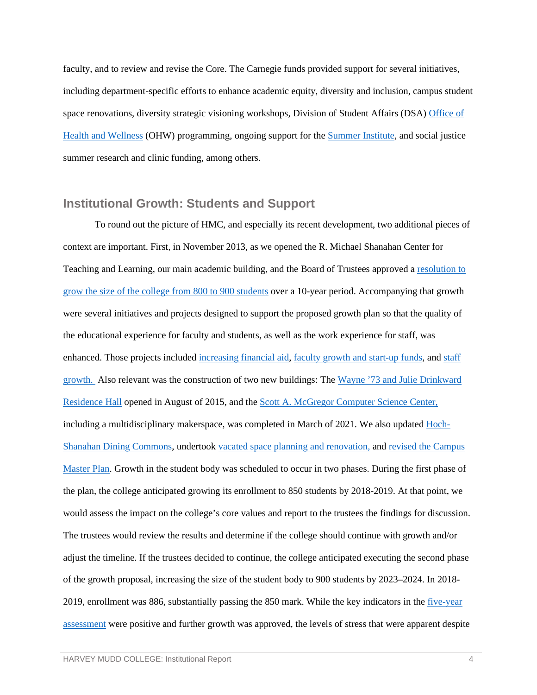faculty, and to review and revise the Core. The Carnegie funds provided support for several initiatives, including department-specific efforts to enhance academic equity, diversity and inclusion, campus student space renovations, diversity strategic visioning workshops, Division of Student Affairs (DSA) [Office of](https://www.hmc.edu/health-wellness/)  [Health and Wellness](https://www.hmc.edu/health-wellness/) (OHW) programming, ongoing support for the [Summer Institute,](https://www.hmc.edu/admission/admitted/summer-institute/) and social justice summer research and clinic funding, among others.

#### <span id="page-6-0"></span>**Institutional Growth: Students and Support**

To round out the picture of HMC, and especially its recent development, two additional pieces of context are important. First, in November 2013, as we opened the R. Michael Shanahan Center for Teaching and Learning, our main academic building, and the Board of Trustees approved a [resolution to](https://wascsenior.box.com/s/m5hdyvzdc0lkaveyjdz0ohtx6f9y08bb)  [grow the size of the college](https://wascsenior.box.com/s/m5hdyvzdc0lkaveyjdz0ohtx6f9y08bb) from 800 to 900 students over a 10-year period. Accompanying that growth were several initiatives and projects designed to support the proposed growth plan so that the quality of the educational experience for faculty and students, as well as the work experience for staff, was enhanced. Those projects included [increasing financial aid,](https://www.hmc.edu/growth/financial-aid/) [faculty growth and start-up funds,](https://www.hmc.edu/growth/faculty-growth-and-start-up-funds/) and staff [growth.](https://www.hmc.edu/growth/staff-growth/) Also relevant was the construction of two new buildings: The [Wayne '73 and Julie Drinkward](https://www.hmc.edu/student-life/housing-residential-life/residence-halls/drinkward/)  [Residence Hall](https://www.hmc.edu/student-life/housing-residential-life/residence-halls/drinkward/) opened in August of 2015, and the [Scott A. McGregor Computer Science Center,](https://www.hmc.edu/campaign/academic-building-one/) including a multidisciplinary makerspace, was completed in March of 2021. We also updated [Hoch-](https://www.hmc.edu/growth/hoch-shanahan-dining-commons/)Shanahan Dining [Commons,](https://www.hmc.edu/growth/hoch-shanahan-dining-commons/) undertook [vacated space planning](https://www.hmc.edu/growth/vacated-space/) and renovation, and [revised the Campus](https://www.hmc.edu/growth/campus-master-plan/)  [Master Plan.](https://www.hmc.edu/growth/campus-master-plan/) Growth in the student body was scheduled to occur in two phases. During the first phase of the plan, the college anticipated growing its enrollment to 850 students by 2018-2019. At that point, we would assess the impact on the college's core values and report to the trustees the findings for discussion. The trustees would review the results and determine if the college should continue with growth and/or adjust the timeline. If the trustees decided to continue, the college anticipated executing the second phase of the growth proposal, increasing the size of the student body to 900 students by 2023–2024. In 2018- 2019, enrollment was 886, substantially passing the 850 mark. While the key indicators in the [five-year](https://www.hmc.edu/growth/wp-content/uploads/sites/29/2019/02/Growth-Indicators-Presentation.pdf)  [assessment](https://www.hmc.edu/growth/wp-content/uploads/sites/29/2019/02/Growth-Indicators-Presentation.pdf) were positive and further growth was approved, the levels of stress that were apparent despite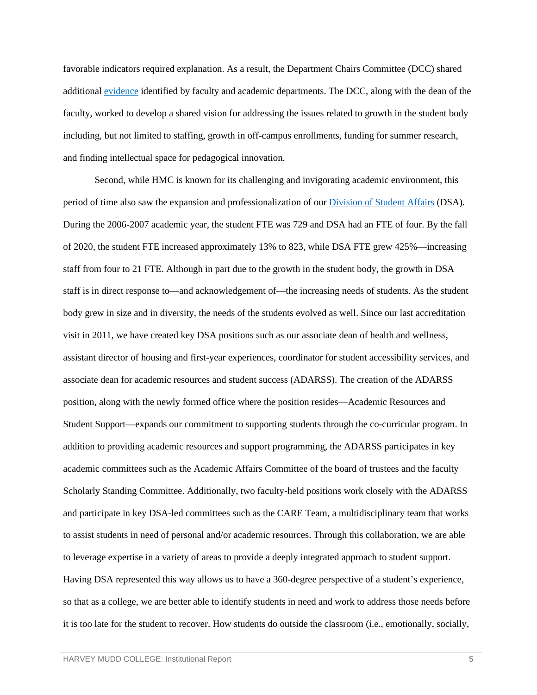favorable indicators required explanation. As a result, the Department Chairs Committee (DCC) shared additiona[l evidence](https://wascsenior.box.com/s/c427u0ekpdfqv9wxoi7bvj9f6akr7zwu) identified by faculty and academic departments. The DCC, along with the dean of the faculty, worked to develop a shared vision for addressing the issues related to growth in the student body including, but not limited to staffing, growth in off-campus enrollments, funding for summer research, and finding intellectual space for pedagogical innovation.

Second, while HMC is known for its challenging and invigorating academic environment, this period of time also saw the expansion and professionalization of our [Division of Student Affairs](https://www.hmc.edu/student-life/mission/) (DSA). During the 2006-2007 academic year, the student FTE was 729 and DSA had an FTE of four. By the fall of 2020, the student FTE increased approximately 13% to 823, while DSA FTE grew 425%—increasing staff from four to 21 FTE. Although in part due to the growth in the student body, the growth in DSA staff is in direct response to—and acknowledgement of—the increasing needs of students. As the student body grew in size and in diversity, the needs of the students evolved as well. Since our last accreditation visit in 2011, we have created key DSA positions such as our associate dean of health and wellness, assistant director of housing and first-year experiences, coordinator for student accessibility services, and associate dean for academic resources and student success (ADARSS). The creation of the ADARSS position, along with the newly formed office where the position resides—Academic Resources and Student Support—expands our commitment to supporting students through the co-curricular program. In addition to providing academic resources and support programming, the ADARSS participates in key academic committees such as the Academic Affairs Committee of the board of trustees and the faculty Scholarly Standing Committee. Additionally, two faculty-held positions work closely with the ADARSS and participate in key DSA-led committees such as the CARE Team, a multidisciplinary team that works to assist students in need of personal and/or academic resources. Through this collaboration, we are able to leverage expertise in a variety of areas to provide a deeply integrated approach to student support. Having DSA represented this way allows us to have a 360-degree perspective of a student's experience, so that as a college, we are better able to identify students in need and work to address those needs before it is too late for the student to recover. How students do outside the classroom (i.e., emotionally, socially,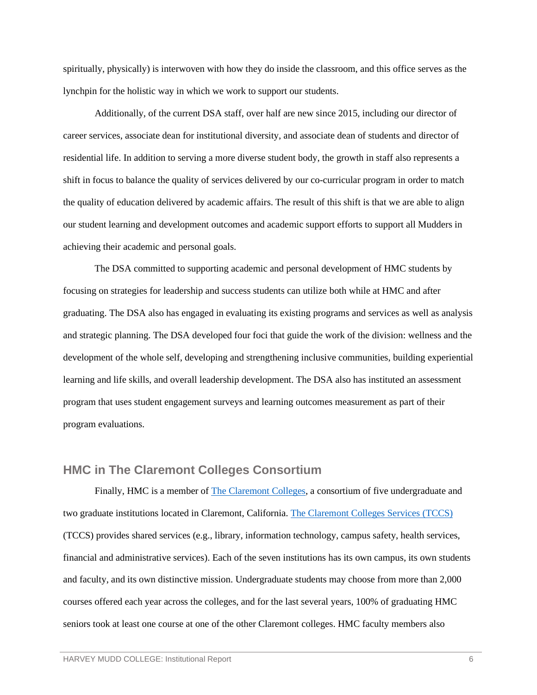spiritually, physically) is interwoven with how they do inside the classroom, and this office serves as the lynchpin for the holistic way in which we work to support our students.

Additionally, of the current DSA staff, over half are new since 2015, including our director of career services, associate dean for institutional diversity, and associate dean of students and director of residential life. In addition to serving a more diverse student body, the growth in staff also represents a shift in focus to balance the quality of services delivered by our co-curricular program in order to match the quality of education delivered by academic affairs. The result of this shift is that we are able to align our student learning and development outcomes and academic support efforts to support all Mudders in achieving their academic and personal goals.

The DSA committed to supporting academic and personal development of HMC students by focusing on strategies for leadership and success students can utilize both while at HMC and after graduating. The DSA also has engaged in evaluating its existing programs and services as well as analysis and strategic planning. The DSA developed four foci that guide the work of the division: wellness and the development of the whole self, developing and strengthening inclusive communities, building experiential learning and life skills, and overall leadership development. The DSA also has instituted an assessment program that uses student engagement surveys and learning outcomes measurement as part of their program evaluations.

### <span id="page-8-0"></span>**HMC in The Claremont Colleges Consortium**

Finally, HMC is a member of [The Claremont Colleges,](https://www.hmc.edu/admission/discover/claremont-colleges/) a consortium of five undergraduate and two graduate institutions located in Claremont, California. [The Claremont Colleges Services \(TCCS\)](https://services.claremont.edu/) (TCCS) provides shared services (e.g., library, information technology, campus safety, health services, financial and administrative services). Each of the seven institutions has its own campus, its own students and faculty, and its own distinctive mission. Undergraduate students may choose from more than 2,000 courses offered each year across the colleges, and for the last several years, 100% of graduating HMC seniors took at least one course at one of the other Claremont colleges. HMC faculty members also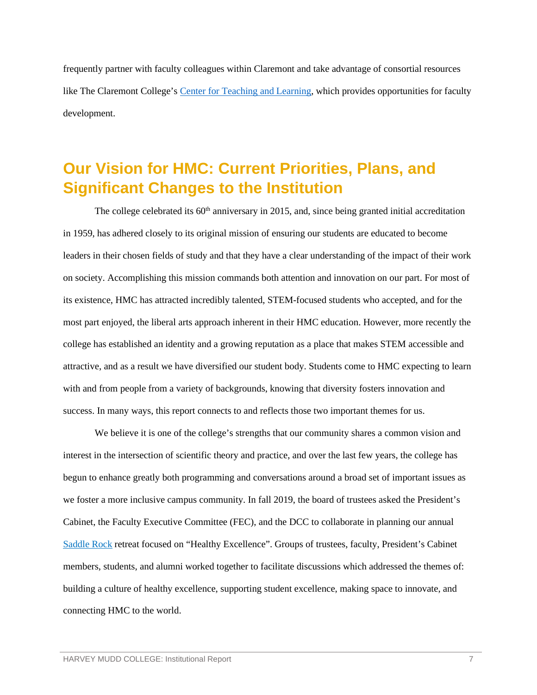frequently partner with faculty colleagues within Claremont and take advantage of consortial resources like The Claremont College's [Center for Teaching and Learning,](https://teaching.claremont.edu/) which provides opportunities for faculty development.

# <span id="page-9-0"></span>**Our Vision for HMC: Current Priorities, Plans, and Significant Changes to the Institution**

The college celebrated its  $60<sup>th</sup>$  anniversary in 2015, and, since being granted initial accreditation in 1959, has adhered closely to its original mission of ensuring our students are educated to become leaders in their chosen fields of study and that they have a clear understanding of the impact of their work on society. Accomplishing this mission commands both attention and innovation on our part. For most of its existence, HMC has attracted incredibly talented, STEM-focused students who accepted, and for the most part enjoyed, the liberal arts approach inherent in their HMC education. However, more recently the college has established an identity and a growing reputation as a place that makes STEM accessible and attractive, and as a result we have diversified our student body. Students come to HMC expecting to learn with and from people from a variety of backgrounds, knowing that diversity fosters innovation and success. In many ways, this report connects to and reflects those two important themes for us.

We believe it is one of the college's strengths that our community shares a common vision and interest in the intersection of scientific theory and practice, and over the last few years, the college has begun to enhance greatly both programming and conversations around a broad set of important issues as we foster a more inclusive campus community. In fall 2019, the board of trustees asked the President's Cabinet, the Faculty Executive Committee (FEC), and the DCC to collaborate in planning our annual [Saddle Rock](https://wascsenior.box.com/s/07ul8esnflujkdxm0bkjldbfmnt735g1) retreat focused on "Healthy Excellence". Groups of trustees, faculty, President's Cabinet members, students, and alumni worked together to facilitate discussions which addressed the themes of: building a culture of healthy excellence, supporting student excellence, making space to innovate, and connecting HMC to the world.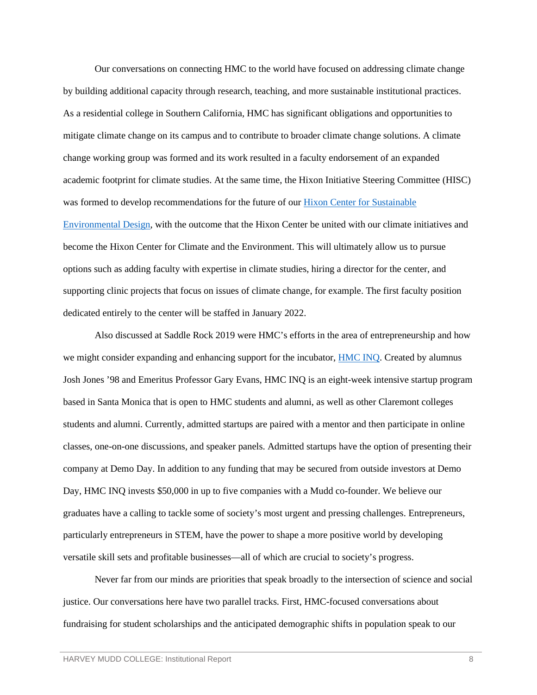Our conversations on connecting HMC to the world have focused on addressing climate change by building additional capacity through research, teaching, and more sustainable institutional practices. As a residential college in Southern California, HMC has significant obligations and opportunities to mitigate climate change on its campus and to contribute to broader climate change solutions. A climate change working group was formed and its work resulted in a faculty endorsement of an expanded academic footprint for climate studies. At the same time, the Hixon Initiative Steering Committee (HISC) was formed to develop recommendations for the future of our [Hixon Center for Sustainable](https://www.hmc.edu/hcsed/)  [Environmental Design,](https://www.hmc.edu/hcsed/) with the outcome that the Hixon Center be united with our climate initiatives and become the Hixon Center for Climate and the Environment. This will ultimately allow us to pursue options such as adding faculty with expertise in climate studies, hiring a director for the center, and supporting clinic projects that focus on issues of climate change, for example. The first faculty position dedicated entirely to the center will be staffed in January 2022.

Also discussed at Saddle Rock 2019 were HMC's efforts in the area of entrepreneurship and how we might consider expanding and enhancing support for the incubator, **HMC INQ**. Created by alumnus Josh Jones '98 and Emeritus Professor Gary Evans, HMC INQ is an eight-week intensive startup program based in Santa Monica that is open to HMC students and alumni, as well as other Claremont colleges students and alumni. Currently, admitted startups are paired with a mentor and then participate in online classes, one-on-one discussions, and speaker panels. Admitted startups have the option of presenting their company at Demo Day. In addition to any funding that may be secured from outside investors at Demo Day, HMC INQ invests \$50,000 in up to five companies with a Mudd co-founder. We believe our graduates have a calling to tackle some of society's most urgent and pressing challenges. Entrepreneurs, particularly entrepreneurs in STEM, have the power to shape a more positive world by developing versatile skill sets and profitable businesses—all of which are crucial to society's progress.

Never far from our minds are priorities that speak broadly to the intersection of science and social justice. Our conversations here have two parallel tracks. First, HMC-focused conversations about fundraising for student scholarships and the anticipated demographic shifts in population speak to our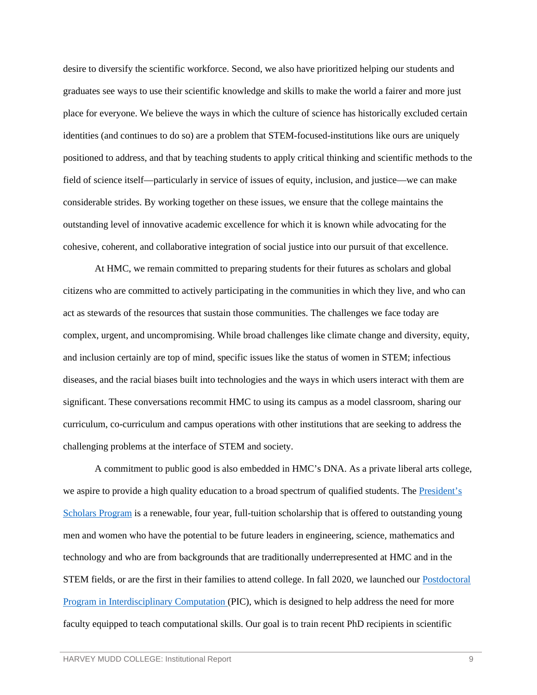desire to diversify the scientific workforce. Second, we also have prioritized helping our students and graduates see ways to use their scientific knowledge and skills to make the world a fairer and more just place for everyone. We believe the ways in which the culture of science has historically excluded certain identities (and continues to do so) are a problem that STEM-focused-institutions like ours are uniquely positioned to address, and that by teaching students to apply critical thinking and scientific methods to the field of science itself—particularly in service of issues of equity, inclusion, and justice—we can make considerable strides. By working together on these issues, we ensure that the college maintains the outstanding level of innovative academic excellence for which it is known while advocating for the cohesive, coherent, and collaborative integration of social justice into our pursuit of that excellence.

At HMC, we remain committed to preparing students for their futures as scholars and global citizens who are committed to actively participating in the communities in which they live, and who can act as stewards of the resources that sustain those communities. The challenges we face today are complex, urgent, and uncompromising. While broad challenges like climate change and diversity, equity, and inclusion certainly are top of mind, specific issues like the status of women in STEM; infectious diseases, and the racial biases built into technologies and the ways in which users interact with them are significant. These conversations recommit HMC to using its campus as a model classroom, sharing our curriculum, co-curriculum and campus operations with other institutions that are seeking to address the challenging problems at the interface of STEM and society.

A commitment to public good is also embedded in HMC's DNA. As a private liberal arts college, we aspire to provide a high quality education to a broad spectrum of qualified students. The President's [Scholars](https://www.hmc.edu/admission/afford/scholarships-and-grants/merit-based-scholarships/presidents-scholars-program/) [Program](https://www.hmc.edu/admission/afford/scholarships-and-grants/merit-based-scholarships/presidents-scholars-program/) is a renewable, four year, full-tuition scholarship that is offered to outstanding young men and women who have the potential to be future leaders in engineering, science, mathematics and technology and who are from backgrounds that are traditionally underrepresented at HMC and in the STEM fields, or are the first in their families to attend college. In fall 2020, we launched our [Postdoctoral](https://www.hmc.edu/research/grant-resources-administration/pic/)  [Program in Interdisciplinary Computation \(](https://www.hmc.edu/research/grant-resources-administration/pic/)PIC), which is designed to help address the need for more faculty equipped to teach computational skills. Our goal is to train recent PhD recipients in scientific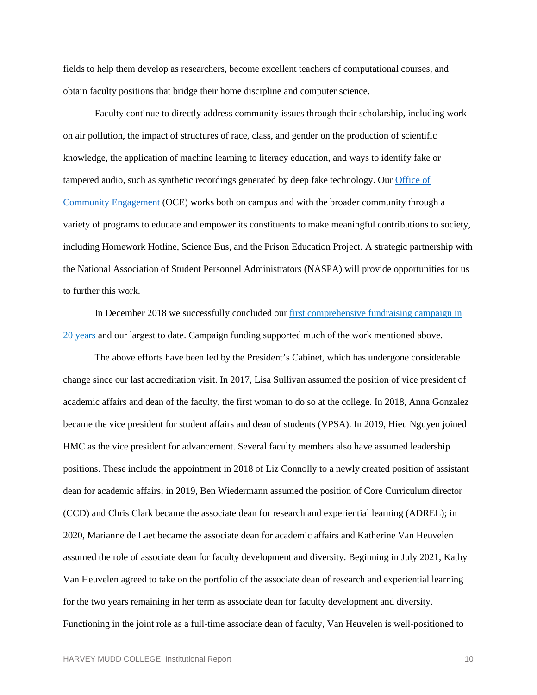fields to help them develop as researchers, become excellent teachers of computational courses, and obtain faculty positions that bridge their home discipline and computer science.

Faculty continue to directly address community issues through their scholarship, including work on air pollution, the impact of structures of race, class, and gender on the production of scientific knowledge, the application of machine learning to literacy education, and ways to identify fake or tampered audio, such as synthetic recordings generated by deep fake technology. Our [Office of](https://www.hmc.edu/community-engagement/)  [Community Engagement \(](https://www.hmc.edu/community-engagement/)OCE) works both on campus and with the broader community through a variety of programs to educate and empower its constituents to make meaningful contributions to society, including Homework Hotline, Science Bus, and the Prison Education Project. A strategic partnership with the National Association of Student Personnel Administrators (NASPA) will provide opportunities for us to further this work.

In December 2018 we successfully concluded our first comprehensive fundraising campaign in [20 years](https://issuu.com/hmcommar/docs/hmc_magazine_spring_2019-issuu?e=10437511/70285837) and our largest to date. Campaign funding supported much of the work mentioned above.

The above efforts have been led by the President's Cabinet, which has undergone considerable change since our last accreditation visit. In 2017, Lisa Sullivan assumed the position of vice president of academic affairs and dean of the faculty, the first woman to do so at the college. In 2018, Anna Gonzalez became the vice president for student affairs and dean of students (VPSA). In 2019, Hieu Nguyen joined HMC as the vice president for advancement. Several faculty members also have assumed leadership positions. These include the appointment in 2018 of Liz Connolly to a newly created position of assistant dean for academic affairs; in 2019, Ben Wiedermann assumed the position of Core Curriculum director (CCD) and Chris Clark became the associate dean for research and experiential learning (ADREL); in 2020, Marianne de Laet became the associate dean for academic affairs and Katherine Van Heuvelen assumed the role of associate dean for faculty development and diversity. Beginning in July 2021, Kathy Van Heuvelen agreed to take on the portfolio of the associate dean of research and experiential learning for the two years remaining in her term as associate dean for faculty development and diversity. Functioning in the joint role as a full-time associate dean of faculty, Van Heuvelen is well-positioned to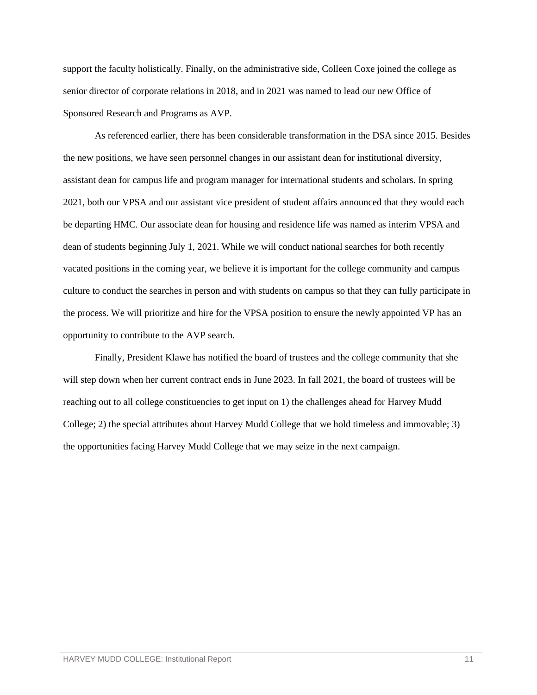support the faculty holistically. Finally, on the administrative side, Colleen Coxe joined the college as senior director of corporate relations in 2018, and in 2021 was named to lead our new Office of Sponsored Research and Programs as AVP.

As referenced earlier, there has been considerable transformation in the DSA since 2015. Besides the new positions, we have seen personnel changes in our assistant dean for institutional diversity, assistant dean for campus life and program manager for international students and scholars. In spring 2021, both our VPSA and our assistant vice president of student affairs announced that they would each be departing HMC. Our associate dean for housing and residence life was named as interim VPSA and dean of students beginning July 1, 2021. While we will conduct national searches for both recently vacated positions in the coming year, we believe it is important for the college community and campus culture to conduct the searches in person and with students on campus so that they can fully participate in the process. We will prioritize and hire for the VPSA position to ensure the newly appointed VP has an opportunity to contribute to the AVP search.

Finally, President Klawe has notified the board of trustees and the college community that she will step down when her current contract ends in June 2023. In fall 2021, the board of trustees will be reaching out to all college constituencies to get input on 1) the challenges ahead for Harvey Mudd College; 2) the special attributes about Harvey Mudd College that we hold timeless and immovable; 3) the opportunities facing Harvey Mudd College that we may seize in the next campaign.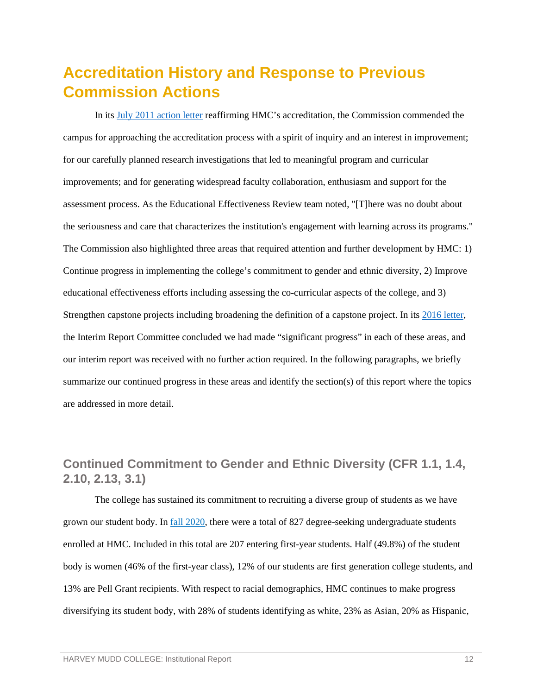# <span id="page-14-0"></span>**Accreditation History and Response to Previous Commission Actions**

In its [July 2011 action letter](https://www.hmc.edu/institutional-research/wp-content/uploads/sites/42/2019/07/CAL_110705_HMC_EER.pdf) reaffirming HMC's accreditation, the Commission commended the campus for approaching the accreditation process with a spirit of inquiry and an interest in improvement; for our carefully planned research investigations that led to meaningful program and curricular improvements; and for generating widespread faculty collaboration, enthusiasm and support for the assessment process. As the Educational Effectiveness Review team noted, "[T]here was no doubt about the seriousness and care that characterizes the institution's engagement with learning across its programs." The Commission also highlighted three areas that required attention and further development by HMC: 1) Continue progress in implementing the college's commitment to gender and ethnic diversity, 2) Improve educational effectiveness efforts including assessing the co-curricular aspects of the college, and 3) Strengthen capstone projects including broadening the definition of a capstone project. In its [2016 letter,](https://www.hmc.edu/institutional-research/wp-content/uploads/sites/42/2019/07/Interim-Report-Letter_2016.pdf) the Interim Report Committee concluded we had made "significant progress" in each of these areas, and our interim report was received with no further action required. In the following paragraphs, we briefly summarize our continued progress in these areas and identify the section(s) of this report where the topics are addressed in more detail.

# <span id="page-14-1"></span>**Continued Commitment to Gender and Ethnic Diversity (CFR 1.1, 1.4, 2.10, 2.13, 3.1)**

The college has sustained its commitment to recruiting a diverse group of students as we have grown our student body. In [fall 2020,](https://wascsenior.box.com/s/6j8lrsf0myux4x98zsr5qsa88eennygo) there were a total of 827 degree-seeking undergraduate students enrolled at HMC. Included in this total are 207 entering first-year students. Half (49.8%) of the student body is women (46% of the first-year class), 12% of our students are first generation college students, and 13% are Pell Grant recipients. With respect to racial demographics, HMC continues to make progress diversifying its student body, with 28% of students identifying as white, 23% as Asian, 20% as Hispanic,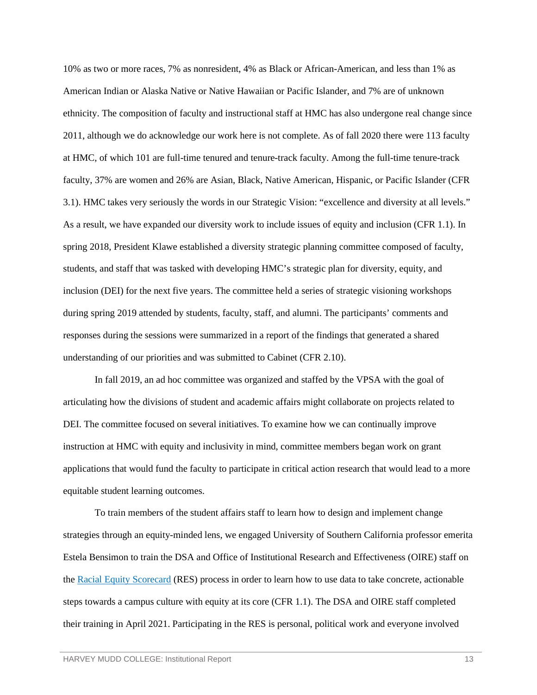10% as two or more races, 7% as nonresident, 4% as Black or African-American, and less than 1% as American Indian or Alaska Native or Native Hawaiian or Pacific Islander, and 7% are of unknown ethnicity. The composition of faculty and instructional staff at HMC has also undergone real change since 2011, although we do acknowledge our work here is not complete. As of fall 2020 there were 113 faculty at HMC, of which 101 are full-time tenured and tenure-track faculty. Among the full-time tenure-track faculty, 37% are women and 26% are Asian, Black, Native American, Hispanic, or Pacific Islander (CFR 3.1). HMC takes very seriously the words in our Strategic Vision: "excellence and diversity at all levels." As a result, we have expanded our diversity work to include issues of equity and inclusion (CFR 1.1). In spring 2018, President Klawe established a diversity strategic planning committee composed of faculty, students, and staff that was tasked with developing HMC's strategic plan for diversity, equity, and inclusion (DEI) for the next five years. The committee held a series of strategic visioning workshops during spring 2019 attended by students, faculty, staff, and alumni. The participants' comments and responses during the sessions were summarized in a report of the findings that generated a shared understanding of our priorities and was submitted to Cabinet (CFR 2.10).

In fall 2019, an ad hoc committee was organized and staffed by the VPSA with the goal of articulating how the divisions of student and academic affairs might collaborate on projects related to DEI. The committee focused on several initiatives. To examine how we can continually improve instruction at HMC with equity and inclusivity in mind, committee members began work on grant applications that would fund the faculty to participate in critical action research that would lead to a more equitable student learning outcomes.

To train members of the student affairs staff to learn how to design and implement change strategies through an equity-minded lens, we engaged University of Southern California professor emerita Estela Bensimon to train the DSA and Office of Institutional Research and Effectiveness (OIRE) staff on the [Racial Equity Scorecard](https://cue.usc.edu/tools/the-equity-scorecard/) (RES) process in order to learn how to use data to take concrete, actionable steps towards a campus culture with equity at its core (CFR 1.1). The DSA and OIRE staff completed their training in April 2021. Participating in the RES is personal, political work and everyone involved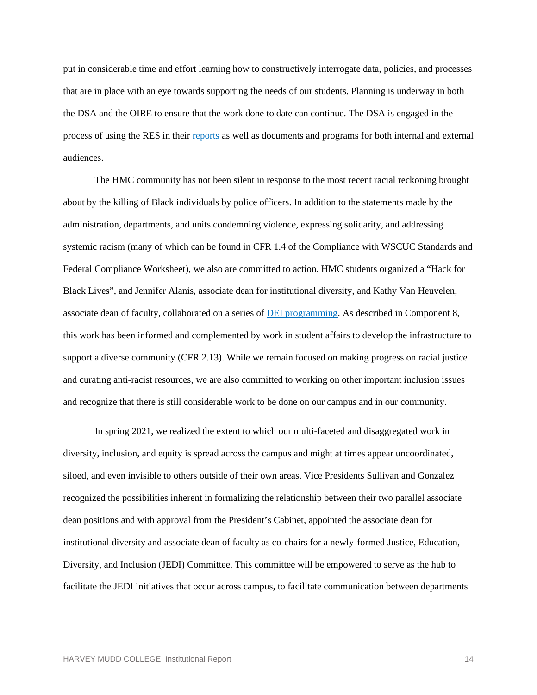put in considerable time and effort learning how to constructively interrogate data, policies, and processes that are in place with an eye towards supporting the needs of our students. Planning is underway in both the DSA and the OIRE to ensure that the work done to date can continue. The DSA is engaged in the process of using the RES in their [reports](https://wascsenior.box.com/s/5jfwor8x9f9hcid7xb3d9jw5nfiws4ja) as well as documents and programs for both internal and external audiences.

The HMC community has not been silent in response to the most recent racial reckoning brought about by the killing of Black individuals by police officers. In addition to the statements made by the administration, departments, and units condemning violence, expressing solidarity, and addressing systemic racism (many of which can be found in CFR 1.4 of the Compliance with WSCUC Standards and Federal Compliance Worksheet), we also are committed to action. HMC students organized a ["Hack for](https://www.hmc.edu/calendar/events/hack-for-black-lives/)  [Black Lives"](https://www.hmc.edu/calendar/events/hack-for-black-lives/), and Jennifer Alanis, associate dean for institutional diversity, and Kathy Van Heuvelen, associate dean of faculty, collaborated on a series of [DEI programming.](https://wascsenior.box.com/s/kwcbz02iudodhpc5rspxo0lx2bg9w423) As described in Component 8, this work has been informed and complemented by work in student affairs to develop the infrastructure to support a diverse community (CFR 2.13). While we remain focused on making progress on racial justice and curating anti-racist resources, we are also committed to working on other important inclusion issues and recognize that there is still considerable work to be done on our campus and in our community.

In spring 2021, we realized the extent to which our multi-faceted and disaggregated work in diversity, inclusion, and equity is spread across the campus and might at times appear uncoordinated, siloed, and even invisible to others outside of their own areas. Vice Presidents Sullivan and Gonzalez recognized the possibilities inherent in formalizing the relationship between their two parallel associate dean positions and with approval from the President's Cabinet, appointed the associate dean for institutional diversity and associate dean of faculty as co-chairs for a newly-formed Justice, Education, Diversity, and Inclusion (JEDI) Committee. This committee will be empowered to serve as the hub to facilitate the JEDI initiatives that occur across campus, to facilitate communication between departments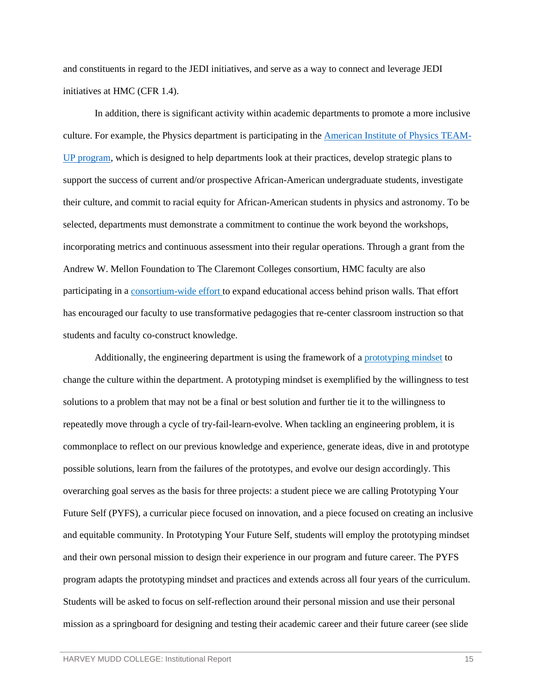and constituents in regard to the JEDI initiatives, and serve as a way to connect and leverage JEDI initiatives at HMC (CFR 1.4).

In addition, there is significant activity within academic departments to promote a more inclusive culture. For example, the Physics department is participating in the [American Institute](https://www.aip.org/teamupworkshops) of Physics TEAM-[UP program,](https://www.aip.org/teamupworkshops) which is designed to help departments look at their practices, develop strategic plans to support the success of current and/or prospective African-American undergraduate students, investigate their culture, and commit to racial equity for African-American students in physics and astronomy. To be selected, departments must demonstrate a commitment to continue the work beyond the workshops, incorporating metrics and continuous assessment into their regular operations. Through a grant from the Andrew W. Mellon Foundation to The Claremont Colleges consortium, HMC faculty are also participating in a [consortium-wide effort t](https://www.hmc.edu/about-hmc/2018/08/09/1-1-million-mellon-grant-to-expand-justice-education-programs/)o expand educational access behind prison walls. That effort has encouraged our faculty to use transformative pedagogies that re-center classroom instruction so that students and faculty co-construct knowledge.

Additionally, the engineering department is using the framework of [a prototyping mindset](https://wascsenior.box.com/s/3s92abceoet7tamxwwkfouqm8wwpxzls) to change the culture within the department. A prototyping mindset is exemplified by the willingness to test solutions to a problem that may not be a final or best solution and further tie it to the willingness to repeatedly move through a cycle of try-fail-learn-evolve. When tackling an engineering problem, it is commonplace to reflect on our previous knowledge and experience, generate ideas, dive in and prototype possible solutions, learn from the failures of the prototypes, and evolve our design accordingly. This overarching goal serves as the basis for three projects: a student piece we are calling Prototyping Your Future Self (PYFS), a curricular piece focused on innovation, and a piece focused on creating an inclusive and equitable community. In Prototyping Your Future Self, students will employ the prototyping mindset and their own personal mission to design their experience in our program and future career. The PYFS program adapts the prototyping mindset and practices and extends across all four years of the curriculum. Students will be asked to focus on self-reflection around their personal mission and use their personal mission as a springboard for designing and testing their academic career and their future career (see slide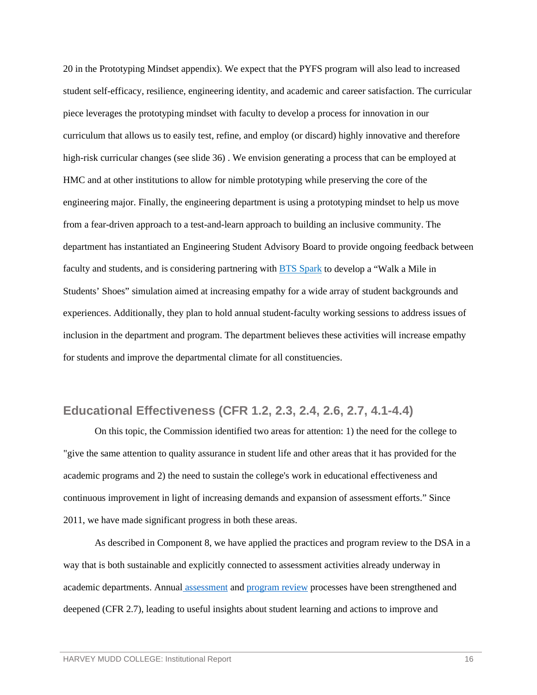20 in the Prototyping Mindset appendix). We expect that the PYFS program will also lead to increased student self-efficacy, resilience, engineering identity, and academic and career satisfaction. The curricular piece leverages the prototyping mindset with faculty to develop a process for innovation in our curriculum that allows us to easily test, refine, and employ (or discard) highly innovative and therefore high-risk curricular changes (see slide 36) . We envision generating a process that can be employed at HMC and at other institutions to allow for nimble prototyping while preserving the core of the engineering major. Finally, the engineering department is using a prototyping mindset to help us move from a fear-driven approach to a test-and-learn approach to building an inclusive community. The department has instantiated an Engineering Student Advisory Board to provide ongoing feedback between faculty and students, and is considering partnering with [BTS Spark](https://www.bts.com/spark/index) to develop a "Walk a Mile in Students' Shoes" simulation aimed at increasing empathy for a wide array of student backgrounds and experiences. Additionally, they plan to hold annual student-faculty working sessions to address issues of inclusion in the department and program. The department believes these activities will increase empathy for students and improve the departmental climate for all constituencies.

### <span id="page-18-0"></span>**Educational Effectiveness (CFR 1.2, 2.3, 2.4, 2.6, 2.7, 4.1-4.4)**

On this topic, the Commission identified two areas for attention: 1) the need for the college to "give the same attention to quality assurance in student life and other areas that it has provided for the academic programs and 2) the need to sustain the college's work in educational effectiveness and continuous improvement in light of increasing demands and expansion of assessment efforts." Since 2011, we have made significant progress in both these areas.

As described in Component 8, we have applied the practices and program review to the DSA in a way that is both sustainable and explicitly connected to assessment activities already underway in academic departments. Annual [assessment](https://www.hmc.edu/institutional-research/assessment-of-student-learning/) and [program review](https://www.hmc.edu/institutional-research/academic-program-review/) processes have been strengthened and deepened (CFR 2.7), leading to useful insights about student learning and actions to improve and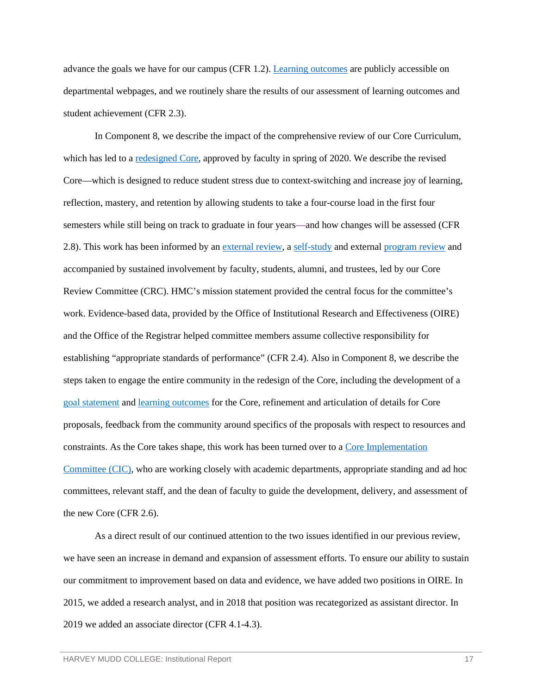advance the goals we have for our campus (CFR 1.2)[. Learning outcomes](https://www.hmc.edu/institutional-research/assessment-of-student-learning/learning-outcomes/#dept-prog-outcomes) are publicly accessible on departmental webpages, and we routinely share the results of our assessment of learning outcomes and student achievement (CFR 2.3).

In Component 8, we describe the impact of the comprehensive review of our Core Curriculum, which has led to a <u>redesigned Core</u>, approved by faculty in spring of 2020. We describe the revised Core—which is designed to reduce student stress due to context-switching and increase joy of learning, reflection, mastery, and retention by allowing students to take a four-course load in the first four semesters while still being on track to graduate in four years—and how changes will be assessed (CFR 2.8). This work has been informed by a[n external review,](https://www.hmc.edu/inclusive-excellence/wp-content/uploads/sites/48/2017/04/HMCCore_External_March2017-004.pdf) a [self-study](https://www.hmc.edu/core-revision/wp-content/uploads/sites/50/2017/07/Core-Curriculum-Self-Study-2017-Appendicies.pdf) and external [program review](https://www.hmc.edu/core-revision/wp-content/uploads/sites/50/2018/01/HMC-Core-External-Reviewers-Final-ReportB.pdf) and accompanied by sustained involvement by faculty, students, alumni, and trustees, led by our Core Review Committee (CRC). HMC's mission statement provided the central focus for the committee's work. Evidence-based data, provided by the Office of Institutional Research and Effectiveness (OIRE) and the Office of the Registrar helped committee members assume collective responsibility for establishing "appropriate standards of performance" (CFR 2.4). Also in Component 8, we describe the steps taken to engage the entire community in the redesign of the Core, including the development of a [goal statement](https://www.hmc.edu/academics/common-core-curriculum/) and [learning outcomes](https://www.hmc.edu/institutional-research/institutional-and-educational-goals/#learning-outcomes) for the Core, refinement and articulation of details for Core proposals, feedback from the community around specifics of the proposals with respect to resources and constraints. As the Core takes shape, this work has been turned over to [a Core Implementation](https://www.hmc.edu/core-implementation/charge-for-the-core-implementation-committee/)  [Committee](https://www.hmc.edu/core-implementation/charge-for-the-core-implementation-committee/) (CIC), who are working closely with academic departments, appropriate standing and ad hoc committees, relevant staff, and the dean of faculty to guide the development, delivery, and assessment of the new Core (CFR 2.6).

As a direct result of our continued attention to the two issues identified in our previous review, we have seen an increase in demand and expansion of assessment efforts. To ensure our ability to sustain our commitment to improvement based on data and evidence, we have added two positions in OIRE. In 2015, we added a research analyst, and in 2018 that position was recategorized as assistant director. In 2019 we added an associate director (CFR 4.1-4.3).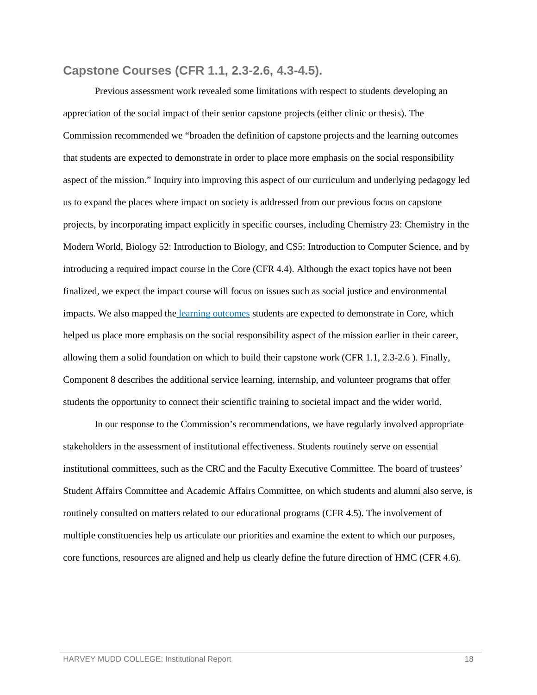#### <span id="page-20-0"></span>**Capstone Courses (CFR 1.1, 2.3-2.6, 4.3-4.5).**

Previous assessment work revealed some limitations with respect to students developing an appreciation of the social impact of their senior capstone projects (either clinic or thesis). The Commission recommended we "broaden the definition of capstone projects and the learning outcomes that students are expected to demonstrate in order to place more emphasis on the social responsibility aspect of the mission." Inquiry into improving this aspect of our curriculum and underlying pedagogy led us to expand the places where impact on society is addressed from our previous focus on capstone projects, by incorporating impact explicitly in specific courses, including Chemistry 23: Chemistry in the Modern World, Biology 52: Introduction to Biology, and CS5: Introduction to Computer Science, and by introducing a required impact course in the Core (CFR 4.4). Although the exact topics have not been finalized, we expect the impact course will focus on issues such as social justice and environmental impacts. We also mapped the [learning outcomes](https://wascsenior.box.com/s/qa8ev446zmc4x353uq7txt6kdcw1ot5u) students are expected to demonstrate in Core, which helped us place more emphasis on the social responsibility aspect of the mission earlier in their career, allowing them a solid foundation on which to build their capstone work (CFR 1.1, 2.3-2.6 ). Finally, Component 8 describes the additional service learning, internship, and volunteer programs that offer students the opportunity to connect their scientific training to societal impact and the wider world.

In our response to the Commission's recommendations, we have regularly involved appropriate stakeholders in the assessment of institutional effectiveness. Students routinely serve on essential institutional committees, such as the CRC and the Faculty Executive Committee. The board of trustees' Student Affairs Committee and Academic Affairs Committee, on which students and alumni also serve, is routinely consulted on matters related to our educational programs (CFR 4.5). The involvement of multiple constituencies help us articulate our priorities and examine the extent to which our purposes, core functions, resources are aligned and help us clearly define the future direction of HMC (CFR 4.6).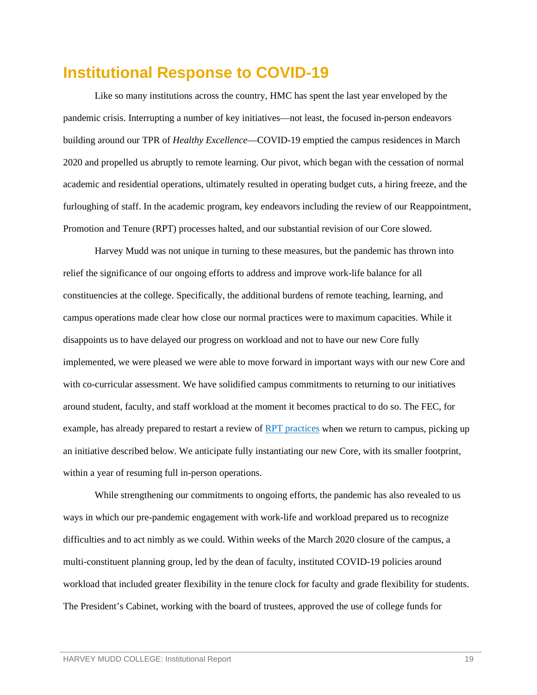# <span id="page-21-0"></span>**Institutional Response to COVID-19**

Like so many institutions across the country, HMC has spent the last year enveloped by the pandemic crisis. Interrupting a number of key initiatives—not least, the focused in-person endeavors building around our TPR of *Healthy Excellence*—COVID-19 emptied the campus residences in March 2020 and propelled us abruptly to remote learning. Our pivot, which began with the cessation of normal academic and residential operations, ultimately resulted in operating budget cuts, a hiring freeze, and the furloughing of staff. In the academic program, key endeavors including the review of our Reappointment, Promotion and Tenure (RPT) processes halted, and our substantial revision of our Core slowed.

Harvey Mudd was not unique in turning to these measures, but the pandemic has thrown into relief the significance of our ongoing efforts to address and improve work-life balance for all constituencies at the college. Specifically, the additional burdens of remote teaching, learning, and campus operations made clear how close our normal practices were to maximum capacities. While it disappoints us to have delayed our progress on workload and not to have our new Core fully implemented, we were pleased we were able to move forward in important ways with our new Core and with co-curricular assessment. We have solidified campus commitments to returning to our initiatives around student, faculty, and staff workload at the moment it becomes practical to do so. The FEC, for example, has already prepared to restart a review of [RPT practices](https://wascsenior.box.com/s/pi749lh89y3rfvv3y0la67elan2zbmil) when we return to campus, picking up an initiative described below. We anticipate fully instantiating our new Core, with its smaller footprint, within a year of resuming full in-person operations.

While strengthening our commitments to ongoing efforts, the pandemic has also revealed to us ways in which our pre-pandemic engagement with work-life and workload prepared us to recognize difficulties and to act nimbly as we could. Within weeks of the March 2020 closure of the campus, a multi-constituent planning group, led by the dean of faculty, instituted COVID-19 policies around workload that included greater flexibility in the tenure clock for faculty and grade flexibility for students. The President's Cabinet, working with the board of trustees, approved the use of college funds for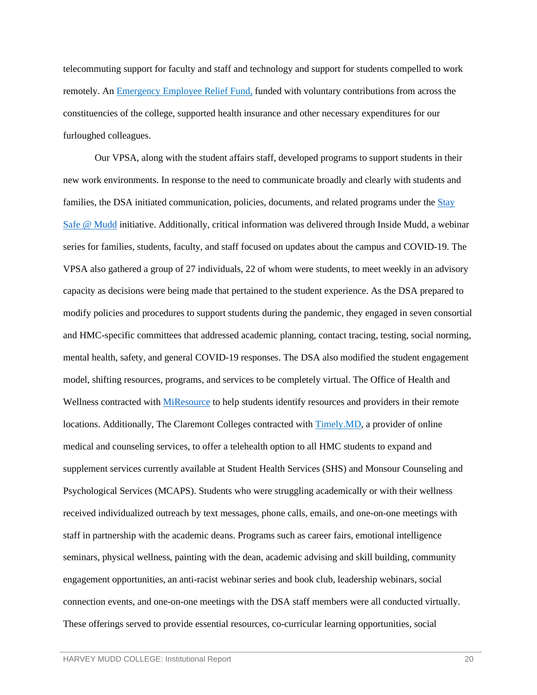telecommuting support for faculty and staff and technology and support for students compelled to work remotely. An **Emergency Employee Relief Fund**, funded with voluntary contributions from across the constituencies of the college, supported health insurance and other necessary expenditures for our furloughed colleagues.

Our VPSA, along with the student affairs staff, developed programs to support students in their new work environments. In response to the need to communicate broadly and clearly with students and families, the DSA initiated communication, policies, documents, and related programs under the Stay [Safe @ Mudd](https://www.hmc.edu/coronavirus-information/stay-safe-at-mudd/) initiative. Additionally, critical information was delivered through Inside Mudd, a webinar series for families, students, faculty, and staff focused on updates about the campus and COVID-19. The VPSA also gathered a group of 27 individuals, 22 of whom were students, to meet weekly in an advisory capacity as decisions were being made that pertained to the student experience. As the DSA prepared to modify policies and procedures to support students during the pandemic, they engaged in seven consortial and HMC-specific committees that addressed academic planning, contact tracing, testing, social norming, mental health, safety, and general COVID-19 responses. The DSA also modified the student engagement model, shifting resources, programs, and services to be completely virtual. The Office of Health and Wellness contracted with [MiResource](https://www.miresource.com/resources/wizard/welcome) to help students identify resources and providers in their remote locations. Additionally, The Claremont Colleges contracted with [Timely.MD,](https://timely.md/faq/7c-health-the-claremont-colleges/) a provider of online medical and counseling services, to offer a telehealth option to all HMC students to expand and supplement services currently available at Student Health Services (SHS) and Monsour Counseling and Psychological Services (MCAPS). Students who were struggling academically or with their wellness received individualized outreach by text messages, phone calls, emails, and one-on-one meetings with staff in partnership with the academic deans. Programs such as career fairs, emotional intelligence seminars, physical wellness, painting with the dean, academic advising and skill building, community engagement opportunities, an anti-racist webinar series and book club, leadership webinars, social connection events, and one-on-one meetings with the DSA staff members were all conducted virtually. These offerings served to provide essential resources, co-curricular learning opportunities, social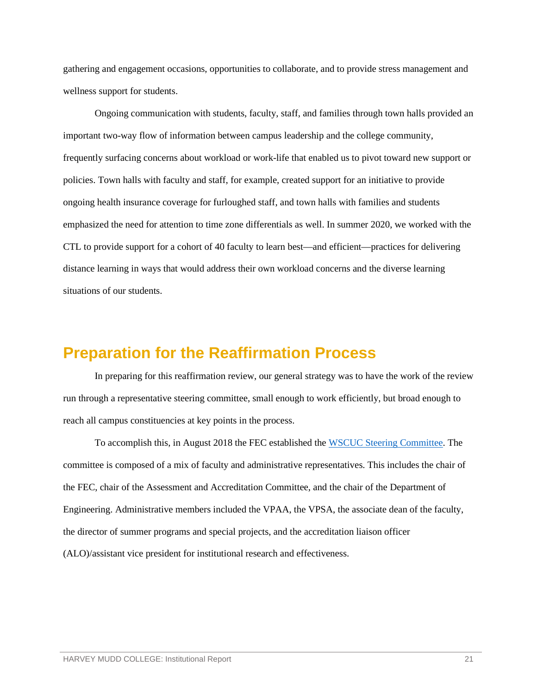gathering and engagement occasions, opportunities to collaborate, and to provide stress management and wellness support for students.

Ongoing communication with students, faculty, staff, and families through town halls provided an important two-way flow of information between campus leadership and the college community, frequently surfacing concerns about workload or work-life that enabled us to pivot toward new support or policies. Town halls with faculty and staff, for example, created support for an initiative to provide ongoing health insurance coverage for furloughed staff, and town halls with families and students emphasized the need for attention to time zone differentials as well. In summer 2020, we worked with the CTL to provide support for a cohort of 40 faculty to learn best—and efficient—practices for delivering distance learning in ways that would address their own workload concerns and the diverse learning situations of our students.

## <span id="page-23-0"></span>**Preparation for the Reaffirmation Process**

In preparing for this reaffirmation review, our general strategy was to have the work of the review run through a representative steering committee, small enough to work efficiently, but broad enough to reach all campus constituencies at key points in the process.

To accomplish this, in August 2018 the FEC established th[e WSCUC Steering Committee.](https://www.hmc.edu/institutional-research/accreditation/2021-wscuc-re-affirmation/wscuc-leadership/) The committee is composed of a mix of faculty and administrative representatives. This includes the chair of the FEC, chair of the Assessment and Accreditation Committee, and the chair of the Department of Engineering. Administrative members included the VPAA, the VPSA, the associate dean of the faculty, the director of summer programs and special projects, and the accreditation liaison officer (ALO)/assistant vice president for institutional research and effectiveness.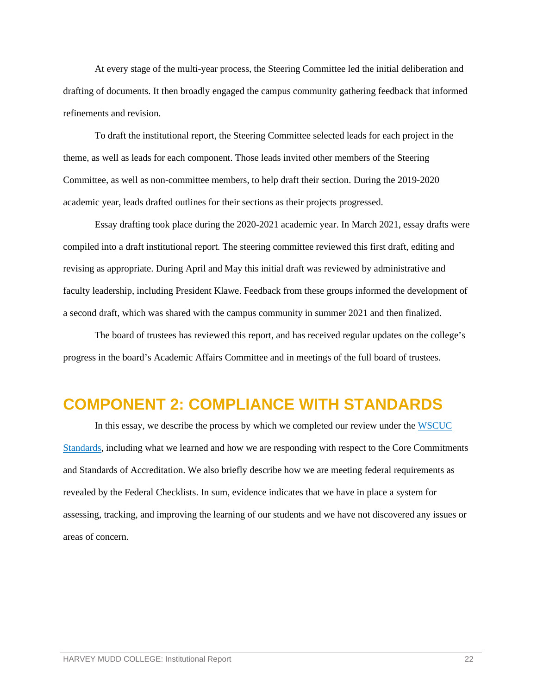At every stage of the multi-year process, the Steering Committee led the initial deliberation and drafting of documents. It then broadly engaged the campus community gathering feedback that informed refinements and revision.

To draft the institutional report, the Steering Committee selected leads for each project in the theme, as well as leads for each component. Those leads invited other members of the Steering Committee, as well as non-committee members, to help draft their section. During the 2019-2020 academic year, leads drafted outlines for their sections as their projects progressed.

Essay drafting took place during the 2020-2021 academic year. In March 2021, essay drafts were compiled into a draft institutional report. The steering committee reviewed this first draft, editing and revising as appropriate. During April and May this initial draft was reviewed by administrative and faculty leadership, including President Klawe. Feedback from these groups informed the development of a second draft, which was shared with the campus community in summer 2021 and then finalized.

The board of trustees has reviewed this report, and has received regular updates on the college's progress in the board's Academic Affairs Committee and in meetings of the full board of trustees.

# <span id="page-24-0"></span>**COMPONENT 2: COMPLIANCE WITH STANDARDS**

In this essay, we describe the process by which we completed our review under the [WSCUC](https://www.wscuc.org/resources/handbook-accreditation-2013/part-ii-core-commitments-and-standards-accreditation/wasc-standards-accreditation-2013)  [Standards,](https://www.wscuc.org/resources/handbook-accreditation-2013/part-ii-core-commitments-and-standards-accreditation/wasc-standards-accreditation-2013) including what we learned and how we are responding with respect to the Core Commitments and Standards of Accreditation. We also briefly describe how we are meeting federal requirements as revealed by the Federal Checklists. In sum, evidence indicates that we have in place a system for assessing, tracking, and improving the learning of our students and we have not discovered any issues or areas of concern.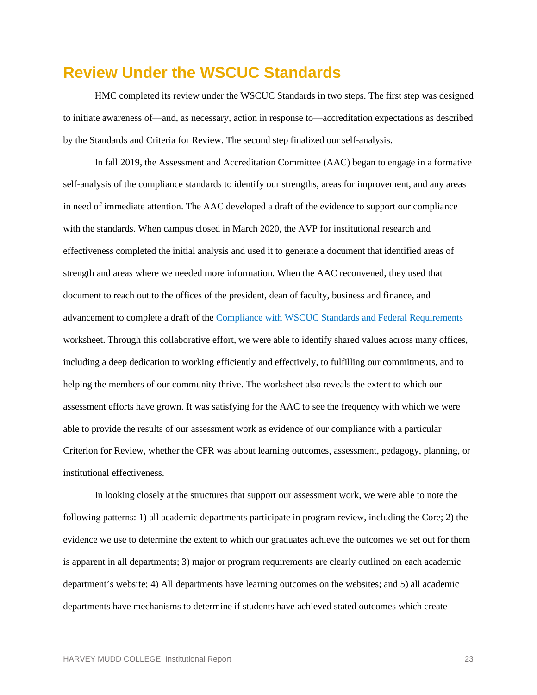# <span id="page-25-0"></span>**Review Under the WSCUC Standards**

HMC completed its review under the WSCUC Standards in two steps. The first step was designed to initiate awareness of—and, as necessary, action in response to—accreditation expectations as described by the Standards and Criteria for Review. The second step finalized our self-analysis.

In fall 2019, the Assessment and Accreditation Committee (AAC) began to engage in a formative self-analysis of the compliance standards to identify our strengths, areas for improvement, and any areas in need of immediate attention. The AAC developed a draft of the evidence to support our compliance with the standards. When campus closed in March 2020, the AVP for institutional research and effectiveness completed the initial analysis and used it to generate a document that identified areas of strength and areas where we needed more information. When the AAC reconvened, they used that document to reach out to the offices of the president, dean of faculty, business and finance, and advancement to complete a draft of the [Compliance with WSCUC Standards and Federal Requirements](https://wascsenior.box.com/s/rmkwhkd3dbkvsfbq49xyl4trmm6wwrlb) worksheet. Through this collaborative effort, we were able to identify shared values across many offices, including a deep dedication to working efficiently and effectively, to fulfilling our commitments, and to helping the members of our community thrive. The worksheet also reveals the extent to which our assessment efforts have grown. It was satisfying for the AAC to see the frequency with which we were able to provide the results of our assessment work as evidence of our compliance with a particular Criterion for Review, whether the CFR was about learning outcomes, assessment, pedagogy, planning, or institutional effectiveness.

In looking closely at the structures that support our assessment work, we were able to note the following patterns: 1) all academic departments participate in program review, including the Core; 2) the evidence we use to determine the extent to which our graduates achieve the outcomes we set out for them is apparent in all departments; 3) major or program requirements are clearly outlined on each academic department's website; 4) All departments have learning outcomes on the websites; and 5) all academic departments have mechanisms to determine if students have achieved stated outcomes which create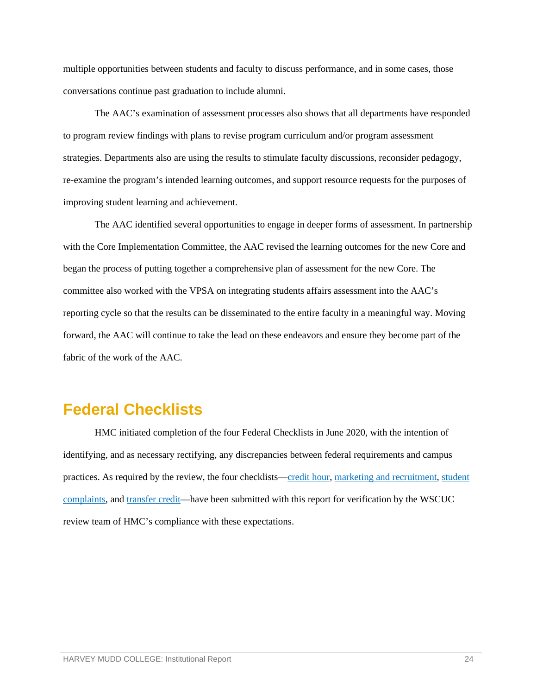multiple opportunities between students and faculty to discuss performance, and in some cases, those conversations continue past graduation to include alumni.

The AAC's examination of assessment processes also shows that all departments have responded to program review findings with plans to revise program curriculum and/or program assessment strategies. Departments also are using the results to stimulate faculty discussions, reconsider pedagogy, re-examine the program's intended learning outcomes, and support resource requests for the purposes of improving student learning and achievement.

The AAC identified several opportunities to engage in deeper forms of assessment. In partnership with the Core Implementation Committee, the AAC revised the learning outcomes for the new Core and began the process of putting together a comprehensive plan of assessment for the new Core. The committee also worked with the VPSA on integrating students affairs assessment into the AAC's reporting cycle so that the results can be disseminated to the entire faculty in a meaningful way. Moving forward, the AAC will continue to take the lead on these endeavors and ensure they become part of the fabric of the work of the AAC.

# <span id="page-26-0"></span>**Federal Checklists**

HMC initiated completion of the four Federal Checklists in June 2020, with the intention of identifying, and as necessary rectifying, any discrepancies between federal requirements and campus practices. As required by the review, the four checklists[—credit hour,](https://wascsenior.box.com/s/ywaswmoss5tv1m55w895vcqubdlqep81) [marketing and recruitment,](https://wascsenior.box.com/s/e0u401bsrgjx1p3s0ud5zc31ne2ac44z) [student](https://wascsenior.box.com/s/2cchowps12djrygt1xracu6qi8ohcdnx)  [complaints,](https://wascsenior.box.com/s/2cchowps12djrygt1xracu6qi8ohcdnx) and [transfer credit—](https://wascsenior.box.com/s/ney6rg935nge0exvat3kivb90acclwog)have been submitted with this report for verification by the WSCUC review team of HMC's compliance with these expectations.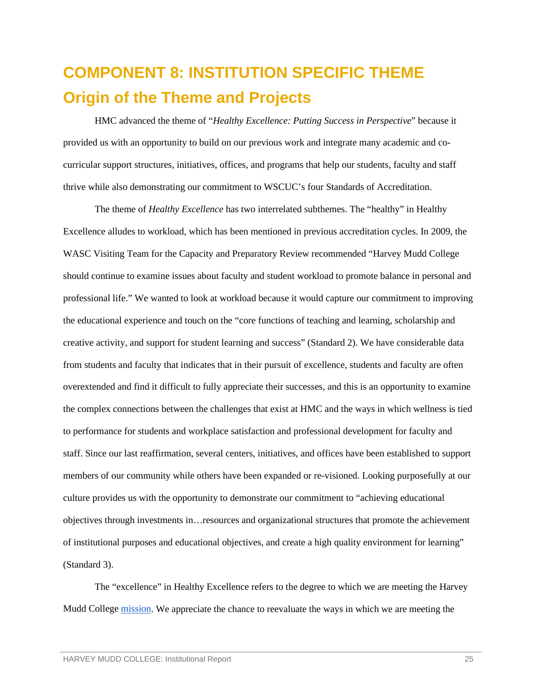# <span id="page-27-1"></span><span id="page-27-0"></span>**COMPONENT 8: INSTITUTION SPECIFIC THEME Origin of the Theme and Projects**

HMC advanced the theme of "*Healthy Excellence: Putting Success in Perspective*" because it provided us with an opportunity to build on our previous work and integrate many academic and cocurricular support structures, initiatives, offices, and programs that help our students, faculty and staff thrive while also demonstrating our commitment to WSCUC's four Standards of Accreditation.

The theme of *Healthy Excellence* has two interrelated subthemes. The "healthy" in Healthy Excellence alludes to workload, which has been mentioned in previous accreditation cycles. In 2009, the WASC Visiting Team for the Capacity and Preparatory Review recommended "Harvey Mudd College should continue to examine issues about faculty and student workload to promote balance in personal and professional life." We wanted to look at workload because it would capture our commitment to improving the educational experience and touch on the "core functions of teaching and learning, scholarship and creative activity, and support for student learning and success" (Standard 2). We have considerable data from students and faculty that indicates that in their pursuit of excellence, students and faculty are often overextended and find it difficult to fully appreciate their successes, and this is an opportunity to examine the complex connections between the challenges that exist at HMC and the ways in which wellness is tied to performance for students and workplace satisfaction and professional development for faculty and staff. Since our last reaffirmation, several centers, initiatives, and offices have been established to support members of our community while others have been expanded or re-visioned. Looking purposefully at our culture provides us with the opportunity to demonstrate our commitment to "achieving educational objectives through investments in…resources and organizational structures that promote the achievement of institutional purposes and educational objectives, and create a high quality environment for learning" (Standard 3).

The "excellence" in Healthy Excellence refers to the degree to which we are meeting the Harvey Mudd College [mission.](https://www.hmc.edu/about-hmc/mission-vision/) We appreciate the chance to reevaluate the ways in which we are meeting the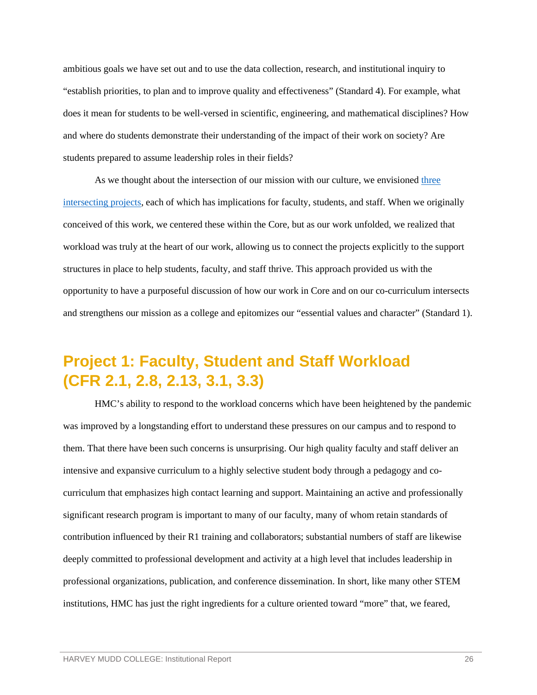ambitious goals we have set out and to use the data collection, research, and institutional inquiry to "establish priorities, to plan and to improve quality and effectiveness" (Standard 4). For example, what does it mean for students to be well-versed in scientific, engineering, and mathematical disciplines? How and where do students demonstrate their understanding of the impact of their work on society? Are students prepared to assume leadership roles in their fields?

As we thought about the intersection of our mission with our culture, we envisioned [three](https://wascsenior.box.com/s/4klrqr7x5tshp6qcx4ew3gbjif0ymrmd)  [intersecting projects,](https://wascsenior.box.com/s/4klrqr7x5tshp6qcx4ew3gbjif0ymrmd) each of which has implications for faculty, students, and staff. When we originally conceived of this work, we centered these within the Core, but as our work unfolded, we realized that workload was truly at the heart of our work, allowing us to connect the projects explicitly to the support structures in place to help students, faculty, and staff thrive. This approach provided us with the opportunity to have a purposeful discussion of how our work in Core and on our co-curriculum intersects and strengthens our mission as a college and epitomizes our "essential values and character" (Standard 1).

# <span id="page-28-0"></span>**Project 1: Faculty, Student and Staff Workload (CFR 2.1, 2.8, 2.13, 3.1, 3.3)**

HMC's ability to respond to the workload concerns which have been heightened by the pandemic was improved by a longstanding effort to understand these pressures on our campus and to respond to them. That there have been such concerns is unsurprising. Our high quality faculty and staff deliver an intensive and expansive curriculum to a highly selective student body through a pedagogy and cocurriculum that emphasizes high contact learning and support. Maintaining an active and professionally significant research program is important to many of our faculty, many of whom retain standards of contribution influenced by their R1 training and collaborators; substantial numbers of staff are likewise deeply committed to professional development and activity at a high level that includes leadership in professional organizations, publication, and conference dissemination. In short, like many other STEM institutions, HMC has just the right ingredients for a culture oriented toward "more" that, we feared,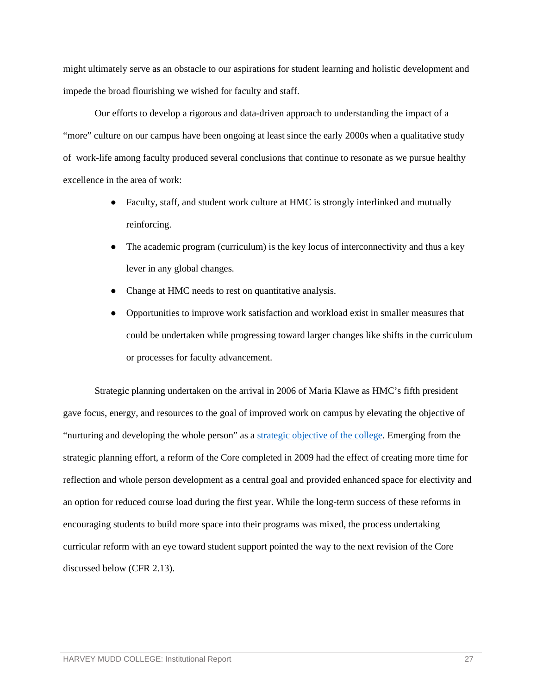might ultimately serve as an obstacle to our aspirations for student learning and holistic development and impede the broad flourishing we wished for faculty and staff.

Our efforts to develop a rigorous and data-driven approach to understanding the impact of a "more" culture on our campus have been ongoing at least since the early 2000s when a qualitative study of work-life among faculty produced several conclusions that continue to resonate as we pursue healthy excellence in the area of work:

- Faculty, staff, and student work culture at HMC is strongly interlinked and mutually reinforcing.
- The academic program (curriculum) is the key locus of interconnectivity and thus a key lever in any global changes.
- Change at HMC needs to rest on quantitative analysis.
- Opportunities to improve work satisfaction and workload exist in smaller measures that could be undertaken while progressing toward larger changes like shifts in the curriculum or processes for faculty advancement.

Strategic planning undertaken on the arrival in 2006 of Maria Klawe as HMC's fifth president gave focus, energy, and resources to the goal of improved work on campus by elevating the objective of "nurturing and developing the whole person" as a [strategic objective of the college.](https://www.hmc.edu/about-hmc/mission-vision/) Emerging from the strategic planning effort, a reform of the Core completed in 2009 had the effect of creating more time for reflection and whole person development as a central goal and provided enhanced space for electivity and an option for reduced course load during the first year. While the long-term success of these reforms in encouraging students to build more space into their programs was mixed, the process undertaking curricular reform with an eye toward student support pointed the way to the next revision of the Core discussed below (CFR 2.13).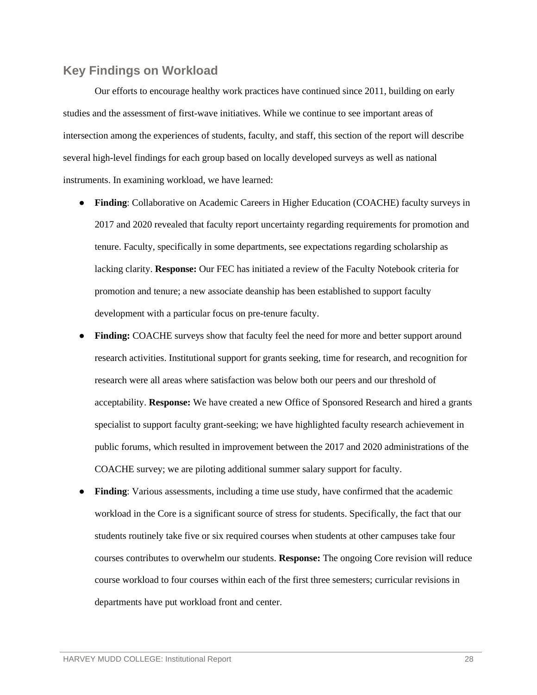#### <span id="page-30-0"></span>**Key Findings on Workload**

Our efforts to encourage healthy work practices have continued since 2011, building on early studies and the assessment of first-wave initiatives. While we continue to see important areas of intersection among the experiences of students, faculty, and staff, this section of the report will describe several high-level findings for each group based on locally developed surveys as well as national instruments. In examining workload, we have learned:

- **Finding**: Collaborative on Academic Careers in Higher Education (COACHE) faculty surveys in 2017 and 2020 revealed that faculty report uncertainty regarding requirements for promotion and tenure. Faculty, specifically in some departments, see expectations regarding scholarship as lacking clarity. **Response:** Our FEC has initiated a review of the Faculty Notebook criteria for promotion and tenure; a new associate deanship has been established to support faculty development with a particular focus on pre-tenure faculty.
- **Finding:** COACHE surveys show that faculty feel the need for more and better support around research activities. Institutional support for grants seeking, time for research, and recognition for research were all areas where satisfaction was below both our peers and our threshold of acceptability. **Response:** We have created a new Office of Sponsored Research and hired a grants specialist to support faculty grant-seeking; we have highlighted faculty research achievement in public forums, which resulted in improvement between the 2017 and 2020 administrations of the COACHE survey; we are piloting additional summer salary support for faculty.
- **Finding:** Various assessments, including a time use study, have confirmed that the academic workload in the Core is a significant source of stress for students. Specifically, the fact that our students routinely take five or six required courses when students at other campuses take four courses contributes to overwhelm our students. **Response:** The ongoing Core revision will reduce course workload to four courses within each of the first three semesters; curricular revisions in departments have put workload front and center.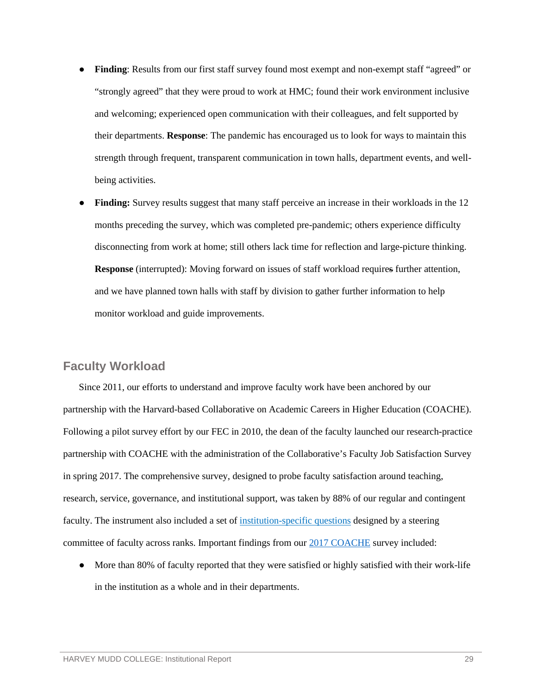- **Finding**: Results from our first staff survey found most exempt and non-exempt staff "agreed" or "strongly agreed" that they were proud to work at HMC; found their work environment inclusive and welcoming; experienced open communication with their colleagues, and felt supported by their departments. **Response**: The pandemic has encouraged us to look for ways to maintain this strength through frequent, transparent communication in town halls, department events, and wellbeing activities.
- Finding: Survey results suggest that many staff perceive an increase in their workloads in the 12 months preceding the survey, which was completed pre-pandemic; others experience difficulty disconnecting from work at home; still others lack time for reflection and large-picture thinking. **Response** (interrupted): Moving forward on issues of staff workload requires further attention, and we have planned town halls with staff by division to gather further information to help monitor workload and guide improvements.

## <span id="page-31-0"></span>**Faculty Workload**

Since 2011, our efforts to understand and improve faculty work have been anchored by our partnership with the Harvard-based Collaborative on Academic Careers in Higher Education (COACHE). Following a pilot survey effort by our FEC in 2010, the dean of the faculty launched our research-practice partnership with COACHE with the administration of the Collaborative's Faculty Job Satisfaction Survey in spring 2017. The comprehensive survey, designed to probe faculty satisfaction around teaching, research, service, governance, and institutional support, was taken by 88% of our regular and contingent faculty. The instrument also included a set of [institution-specific questions](https://wascsenior.box.com/s/9egq5xkr4s3t9pn1vuakocmrllaoriia) designed by a steering committee of faculty across ranks. Important findings from our [2017 COACHE](https://wascsenior.box.com/s/8fd3qazw2evmc01oa54k701zcw85e076) survey included:

• More than 80% of faculty reported that they were satisfied or highly satisfied with their work-life in the institution as a whole and in their departments.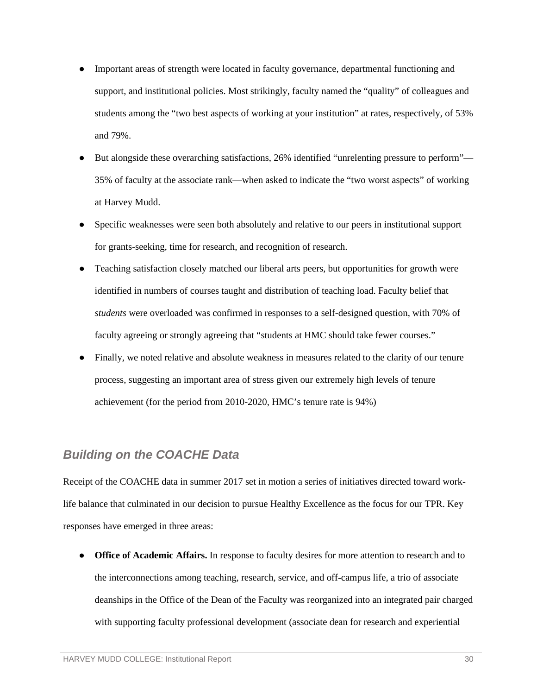- Important areas of strength were located in faculty governance, departmental functioning and support, and institutional policies. Most strikingly, faculty named the "quality" of colleagues and students among the "two best aspects of working at your institution" at rates, respectively, of 53% and 79%.
- But alongside these overarching satisfactions, 26% identified "unrelenting pressure to perform"— 35% of faculty at the associate rank—when asked to indicate the "two worst aspects" of working at Harvey Mudd.
- Specific weaknesses were seen both absolutely and relative to our peers in institutional support for grants-seeking, time for research, and recognition of research.
- Teaching satisfaction closely matched our liberal arts peers, but opportunities for growth were identified in numbers of courses taught and distribution of teaching load. Faculty belief that *students* were overloaded was confirmed in responses to a self-designed question, with 70% of faculty agreeing or strongly agreeing that "students at HMC should take fewer courses."
- Finally, we noted relative and absolute weakness in measures related to the clarity of our tenure process, suggesting an important area of stress given our extremely high levels of tenure achievement (for the period from 2010-2020, HMC's tenure rate is 94%)

## *Building on the COACHE Data*

Receipt of the COACHE data in summer 2017 set in motion a series of initiatives directed toward worklife balance that culminated in our decision to pursue Healthy Excellence as the focus for our TPR. Key responses have emerged in three areas:

• **Office of Academic Affairs.** In response to faculty desires for more attention to research and to the interconnections among teaching, research, service, and off-campus life, a trio of associate deanships in the Office of the Dean of the Faculty was reorganized into an integrated pair charged with supporting faculty professional development (associate dean for research and experiential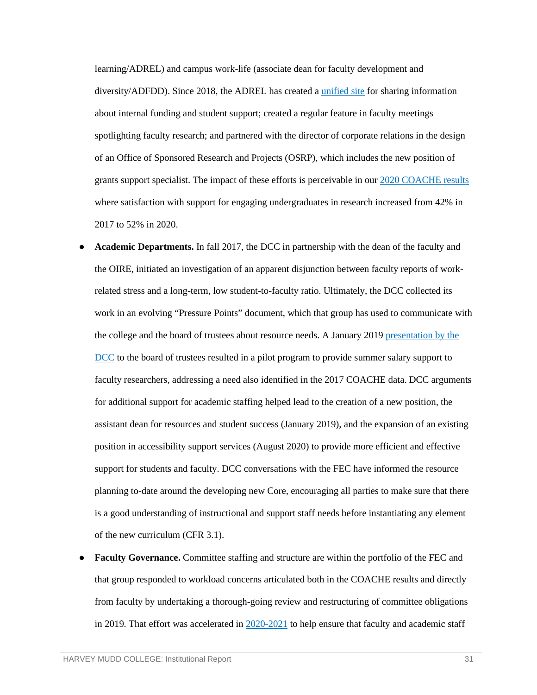learning/ADREL) and campus work-life (associate dean for faculty development and diversity/ADFDD). Since 2018, the ADREL has created a *unified site* for sharing information about internal funding and student support; created a regular feature in faculty meetings spotlighting faculty research; and partnered with the director of corporate relations in the design of an Office of Sponsored Research and Projects (OSRP), which includes the new position of grants support specialist. The impact of these efforts is perceivable in our [2020 COACHE results](https://wascsenior.box.com/s/1c9ahz419wmgf79ok8qk46hd0xdorx3e) where satisfaction with support for engaging undergraduates in research increased from 42% in 2017 to 52% in 2020.

- Academic Departments. In fall 2017, the DCC in partnership with the dean of the faculty and the OIRE, initiated an investigation of an apparent disjunction between faculty reports of workrelated stress and a long-term, low student-to-faculty ratio. Ultimately, the DCC collected its work in an evolving "Pressure Points" document, which that group has used to communicate with the college and the board of trustees about resource needs. A January 201[9 presentation by the](https://wascsenior.box.com/s/968hhzuylkdurhnvoeh5igi3w8xsx87k)  [DCC](https://wascsenior.box.com/s/968hhzuylkdurhnvoeh5igi3w8xsx87k) to the board of trustees resulted in a pilot program to provide summer salary support to faculty researchers, addressing a need also identified in the 2017 COACHE data. DCC arguments for additional support for academic staffing helped lead to the creation of a new position, the assistant dean for resources and student success (January 2019), and the expansion of an existing position in accessibility support services (August 2020) to provide more efficient and effective support for students and faculty. DCC conversations with the FEC have informed the resource planning to-date around the developing new Core, encouraging all parties to make sure that there is a good understanding of instructional and support staff needs before instantiating any element of the new curriculum (CFR 3.1).
- **Faculty Governance.** Committee staffing and structure are within the portfolio of the FEC and that group responded to workload concerns articulated both in the COACHE results and directly from faculty by undertaking a thorough-going review and restructuring of committee obligations in 2019. That effort was accelerated in  $2020-2021$  to help ensure that faculty and academic staff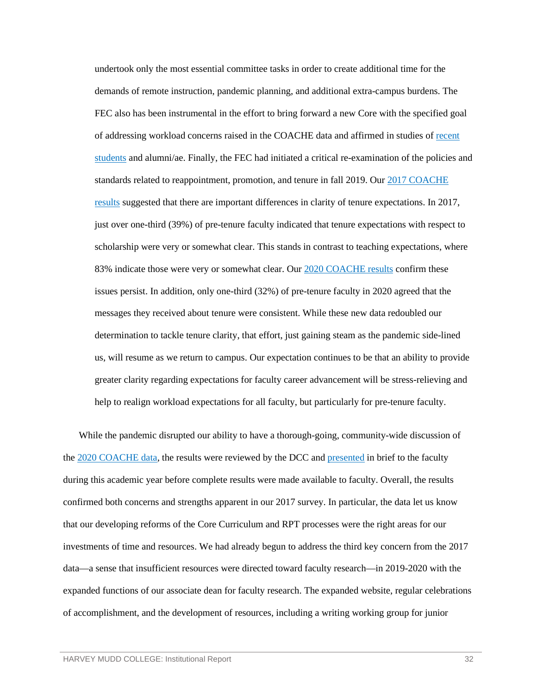undertook only the most essential committee tasks in order to create additional time for the demands of remote instruction, pandemic planning, and additional extra-campus burdens. The FEC also has been instrumental in the effort to bring forward a new Core with the specified goal of addressing workload concerns raised in the COACHE data and affirmed in studies of [recent](https://wascsenior.box.com/s/r92hvu56pif6fejfetz8r5kht6v5qkax)  [students](https://wascsenior.box.com/s/r92hvu56pif6fejfetz8r5kht6v5qkax) and alumni/ae. Finally, the FEC had initiated a critical re-examination of the policies and standards related to reappointment, promotion, and tenure in fall 2019. Ou[r 2017 COACHE](https://wascsenior.box.com/s/gena3oys7y6p2sbbagykq7kzga555fp9)  [results](https://wascsenior.box.com/s/gena3oys7y6p2sbbagykq7kzga555fp9) suggested that there are important differences in clarity of tenure expectations. In 2017, just over one-third (39%) of pre-tenure faculty indicated that tenure expectations with respect to scholarship were very or somewhat clear. This stands in contrast to teaching expectations, where 83% indicate those were very or somewhat clear. Our 2020 [COACHE results](https://wascsenior.box.com/s/jg5dc6yphnuewrlpsszzhw0oj0atsrru) confirm these issues persist. In addition, only one-third (32%) of pre-tenure faculty in 2020 agreed that the messages they received about tenure were consistent. While these new data redoubled our determination to tackle tenure clarity, that effort, just gaining steam as the pandemic side-lined us, will resume as we return to campus. Our expectation continues to be that an ability to provide greater clarity regarding expectations for faculty career advancement will be stress-relieving and help to realign workload expectations for all faculty, but particularly for pre-tenure faculty.

While the pandemic disrupted our ability to have a thorough-going, community-wide discussion of the [2020 COACHE data,](https://wascsenior.box.com/s/h4d2i4w119rkgryzpvtif4h24a4faht2) the results were reviewed by the DCC and [presented](https://wascsenior.box.com/s/vkmgp3l20bgnyxw87ny13k0cqzrcngfb) in brief to the faculty during this academic year before complete results were made available to faculty. Overall, the results confirmed both concerns and strengths apparent in our 2017 survey. In particular, the data let us know that our developing reforms of the Core Curriculum and RPT processes were the right areas for our investments of time and resources. We had already begun to address the third key concern from the 2017 data—a sense that insufficient resources were directed toward faculty research—in 2019-2020 with the expanded functions of our associate dean for faculty research. The expanded website, regular celebrations of accomplishment, and the development of resources, including a writing working group for junior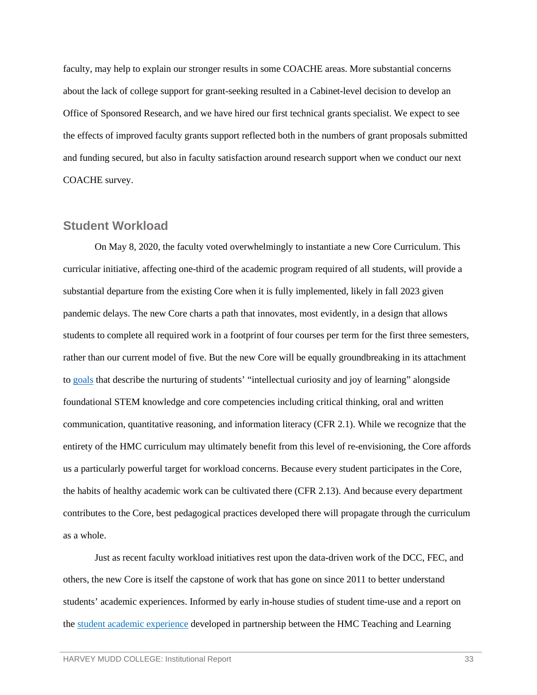faculty, may help to explain our stronger results in some COACHE areas. More substantial concerns about the lack of college support for grant-seeking resulted in a Cabinet-level decision to develop an Office of Sponsored Research, and we have hired our first technical grants specialist. We expect to see the effects of improved faculty grants support reflected both in the numbers of grant proposals submitted and funding secured, but also in faculty satisfaction around research support when we conduct our next COACHE survey.

#### <span id="page-35-0"></span>**Student Workload**

On May 8, 2020, the faculty voted overwhelmingly to instantiate a new Core Curriculum. This curricular initiative, affecting one-third of the academic program required of all students, will provide a substantial departure from the existing Core when it is fully implemented, likely in fall 2023 given pandemic delays. The new Core charts a path that innovates, most evidently, in a design that allows students to complete all required work in a footprint of four courses per term for the first three semesters, rather than our current model of five. But the new Core will be equally groundbreaking in its attachment to [goals](https://www.hmc.edu/academics/common-core-curriculum/) that describe the nurturing of students' "intellectual curiosity and joy of learning" alongside foundational STEM knowledge and core competencies including critical thinking, oral and written communication, quantitative reasoning, and information literacy (CFR 2.1). While we recognize that the entirety of the HMC curriculum may ultimately benefit from this level of re-envisioning, the Core affords us a particularly powerful target for workload concerns. Because every student participates in the Core, the habits of healthy academic work can be cultivated there (CFR 2.13). And because every department contributes to the Core, best pedagogical practices developed there will propagate through the curriculum as a whole.

Just as recent faculty workload initiatives rest upon the data-driven work of the DCC, FEC, and others, the new Core is itself the capstone of work that has gone on since 2011 to better understand students' academic experiences. Informed by early in-house studies of student time-use and a report on the [student academic experience](https://wascsenior.box.com/s/n2cuv6bb3fhahk5s6d8fktzelb46vou4) developed in partnership between the HMC Teaching and Learning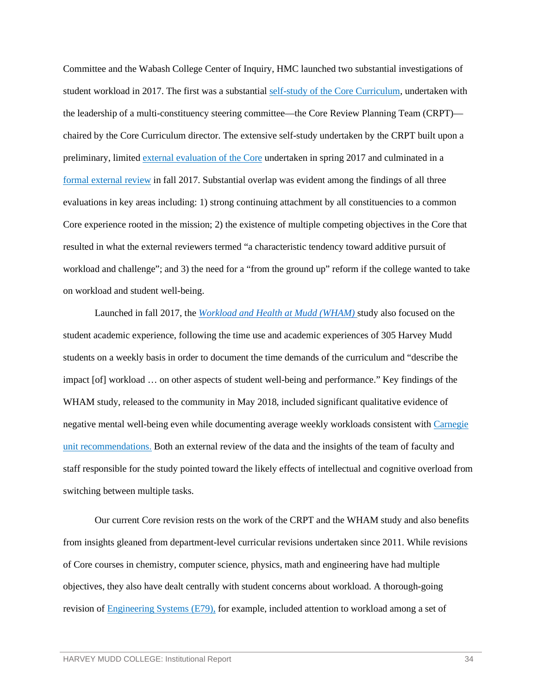Committee and the Wabash College Center of Inquiry, HMC launched two substantial investigations of student workload in 2017. The first was a substantial [self-study of the Core Curriculum,](https://wascsenior.box.com/s/n49musxz2ldvqtp4ry534ovmn9neqv2h) undertaken with the leadership of a multi-constituency steering committee—the Core Review Planning Team (CRPT) chaired by the Core Curriculum director. The extensive self-study undertaken by the CRPT built upon a preliminary, limite[d external evaluation of the Core](https://wascsenior.box.com/s/ii53ah4ytis3rneck2nzw39sansi2ghx) undertaken in spring 2017 and culminated in a [formal external review](https://wascsenior.box.com/s/o2uvz8p0bc3t9lt16aha4j2mqho3950a) in fall 2017. Substantial overlap was evident among the findings of all three evaluations in key areas including: 1) strong continuing attachment by all constituencies to a common Core experience rooted in the mission; 2) the existence of multiple competing objectives in the Core that resulted in what the external reviewers termed "a characteristic tendency toward additive pursuit of workload and challenge"; and 3) the need for a "from the ground up" reform if the college wanted to take on workload and student well-being.

Launched in fall 2017, the *[Workload and Health at Mudd \(WHAM\)](https://www.hmc.edu/wham/)* study also focused on the student academic experience, following the time use and academic experiences of 305 Harvey Mudd students on a weekly basis in order to document the time demands of the curriculum and "describe the impact [of] workload … on other aspects of student well-being and performance." Key findings of the WHAM study, released to the community in May 2018, included significant qualitative evidence of negative mental well-being even while documenting average weekly workloads consistent with [Carnegie](https://wascsenior.box.com/s/wokj10wuxngl3ta7g5otwbup1fywj4o8)  [unit recommendations.](https://wascsenior.box.com/s/wokj10wuxngl3ta7g5otwbup1fywj4o8) Both an external review of the data and the insights of the team of faculty and staff responsible for the study pointed toward the likely effects of intellectual and cognitive overload from switching between multiple tasks.

Our current Core revision rests on the work of the CRPT and the WHAM study and also benefits from insights gleaned from department-level curricular revisions undertaken since 2011. While revisions of Core courses in chemistry, computer science, physics, math and engineering have had multiple objectives, they also have dealt centrally with student concerns about workload. A thorough-going revision of [Engineering Systems \(E79\),](https://wascsenior.box.com/s/p1089e9zm43u8q1o0zzzomi5aew790gc) for example, included attention to workload among a set of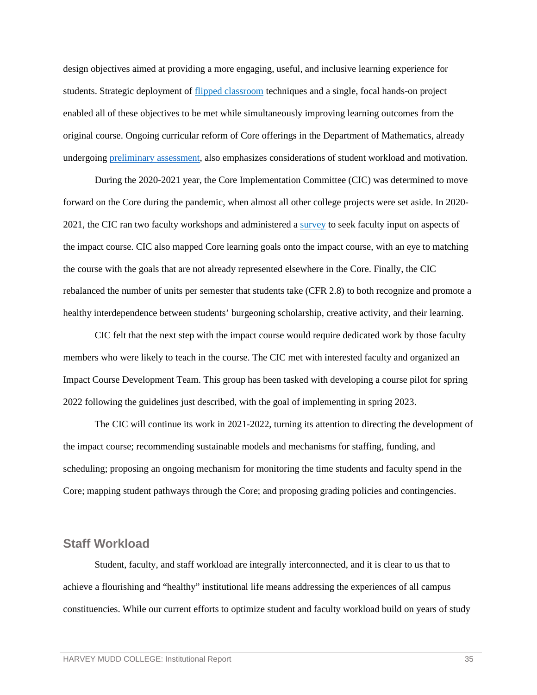design objectives aimed at providing a more engaging, useful, and inclusive learning experience for students. Strategic deployment of [flipped classroom](https://wascsenior.box.com/s/ubdfl3l5g9o5dq4v8zz1bvey4707priv) techniques and a single, focal hands-on project enabled all of these objectives to be met while simultaneously improving learning outcomes from the original course. Ongoing curricular reform of Core offerings in the Department of Mathematics, already undergoing [preliminary assessment,](https://wascsenior.box.com/s/g002p65an1kl31wpq2z6sk3n39kzoi3f) also emphasizes considerations of student workload and motivation.

During the 2020-2021 year, the Core Implementation Committee (CIC) was determined to move forward on the Core during the pandemic, when almost all other college projects were set aside. In 2020- 2021, the CIC ran two faculty workshops and administered a [survey](https://wascsenior.box.com/s/kx63ovi6bueecii1aplhvooomlplppo3) to seek faculty input on aspects of the impact course. CIC also mapped Core learning goals onto the impact course, with an eye to matching the course with the goals that are not already represented elsewhere in the Core. Finally, the CIC rebalanced the number of units per semester that students take (CFR 2.8) to both recognize and promote a healthy interdependence between students' burgeoning scholarship, creative activity, and their learning.

CIC felt that the next step with the impact course would require dedicated work by those faculty members who were likely to teach in the course. The CIC met with interested faculty and organized an Impact Course Development Team. This group has been tasked with developing a course pilot for spring 2022 following the guidelines just described, with the goal of implementing in spring 2023.

The CIC will continue its work in 2021-2022, turning its attention to directing the development of the impact course; recommending sustainable models and mechanisms for staffing, funding, and scheduling; proposing an ongoing mechanism for monitoring the time students and faculty spend in the Core; mapping student pathways through the Core; and proposing grading policies and contingencies.

#### <span id="page-37-0"></span>**Staff Workload**

Student, faculty, and staff workload are integrally interconnected, and it is clear to us that to achieve a flourishing and "healthy" institutional life means addressing the experiences of all campus constituencies. While our current efforts to optimize student and faculty workload build on years of study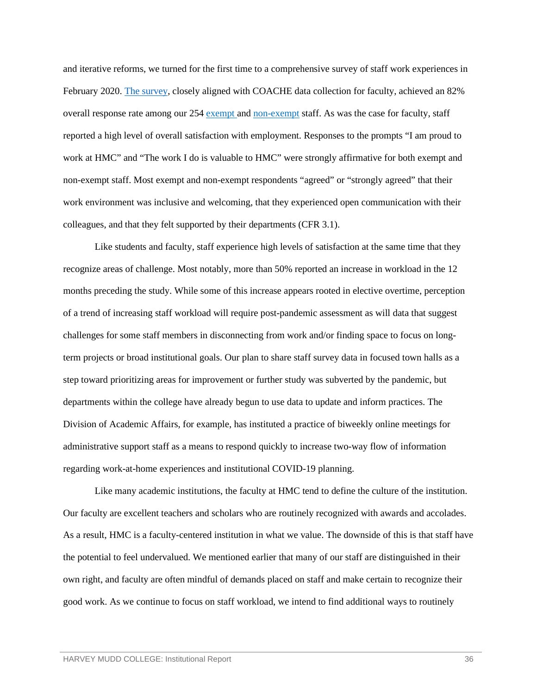and iterative reforms, we turned for the first time to a comprehensive survey of staff work experiences in February 2020. [The survey,](https://wascsenior.box.com/s/4xx1b5hxiok6uz2ge948xchmr0k1wk8t) closely aligned with COACHE data collection for faculty, achieved an 82% overall response rate among our 254 [exempt a](https://wascsenior.box.com/s/ae3c3ygpi6l35xjm1xhgu4b8jmvdy7hl)nd [non-exempt](https://wascsenior.box.com/s/3i0dwya5ak84dqsiffshei1q2tptlw3n) staff. As was the case for faculty, staff reported a high level of overall satisfaction with employment. Responses to the prompts "I am proud to work at HMC" and "The work I do is valuable to HMC" were strongly affirmative for both exempt and non-exempt staff. Most exempt and non-exempt respondents "agreed" or "strongly agreed" that their work environment was inclusive and welcoming, that they experienced open communication with their colleagues, and that they felt supported by their departments (CFR 3.1).

Like students and faculty, staff experience high levels of satisfaction at the same time that they recognize areas of challenge. Most notably, more than 50% reported an increase in workload in the 12 months preceding the study. While some of this increase appears rooted in elective overtime, perception of a trend of increasing staff workload will require post-pandemic assessment as will data that suggest challenges for some staff members in disconnecting from work and/or finding space to focus on longterm projects or broad institutional goals. Our plan to share staff survey data in focused town halls as a step toward prioritizing areas for improvement or further study was subverted by the pandemic, but departments within the college have already begun to use data to update and inform practices. The Division of Academic Affairs, for example, has instituted a practice of biweekly online meetings for administrative support staff as a means to respond quickly to increase two-way flow of information regarding work-at-home experiences and institutional COVID-19 planning.

Like many academic institutions, the faculty at HMC tend to define the culture of the institution. Our faculty are excellent teachers and scholars who are routinely recognized with awards and accolades. As a result, HMC is a faculty-centered institution in what we value. The downside of this is that staff have the potential to feel undervalued. We mentioned earlier that many of our staff are distinguished in their own right, and faculty are often mindful of demands placed on staff and make certain to recognize their good work. As we continue to focus on staff workload, we intend to find additional ways to routinely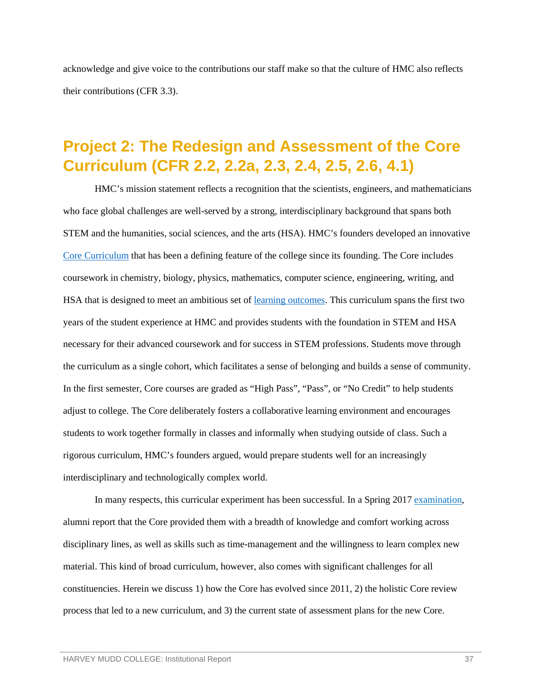acknowledge and give voice to the contributions our staff make so that the culture of HMC also reflects their contributions (CFR 3.3).

# <span id="page-39-0"></span>**Project 2: The Redesign and Assessment of the Core Curriculum (CFR 2.2, 2.2a, 2.3, 2.4, 2.5, 2.6, 4.1)**

HMC's mission statement reflects a recognition that the scientists, engineers, and mathematicians who face global challenges are well-served by a strong, interdisciplinary background that spans both STEM and the humanities, social sciences, and the arts (HSA). HMC's founders developed an innovative [Core Curriculum](https://www.hmc.edu/academics/common-core-curriculum/) that has been a defining feature of the college since its founding. The Core includes coursework in chemistry, biology, physics, mathematics, computer science, engineering, writing, and HSA that is designed to meet an ambitious set of [learning outcomes.](https://www.hmc.edu/institutional-research/institutional-and-educational-goals/#learning-outcomes) This curriculum spans the first two years of the student experience at HMC and provides students with the foundation in STEM and HSA necessary for their advanced coursework and for success in STEM professions. Students move through the curriculum as a single cohort, which facilitates a sense of belonging and builds a sense of community. In the first semester, Core courses are graded as "High Pass", "Pass", or "No Credit" to help students adjust to college. The Core deliberately fosters a collaborative learning environment and encourages students to work together formally in classes and informally when studying outside of class. Such a rigorous curriculum, HMC's founders argued, would prepare students well for an increasingly interdisciplinary and technologically complex world.

In many respects, this curricular experiment has been successful. In a Spring 2017 [examination,](https://wascsenior.box.com/s/ii53ah4ytis3rneck2nzw39sansi2ghx) alumni report that the Core provided them with a breadth of knowledge and comfort working across disciplinary lines, as well as skills such as time-management and the willingness to learn complex new material. This kind of broad curriculum, however, also comes with significant challenges for all constituencies. Herein we discuss 1) how the Core has evolved since 2011, 2) the holistic Core review process that led to a new curriculum, and 3) the current state of assessment plans for the new Core.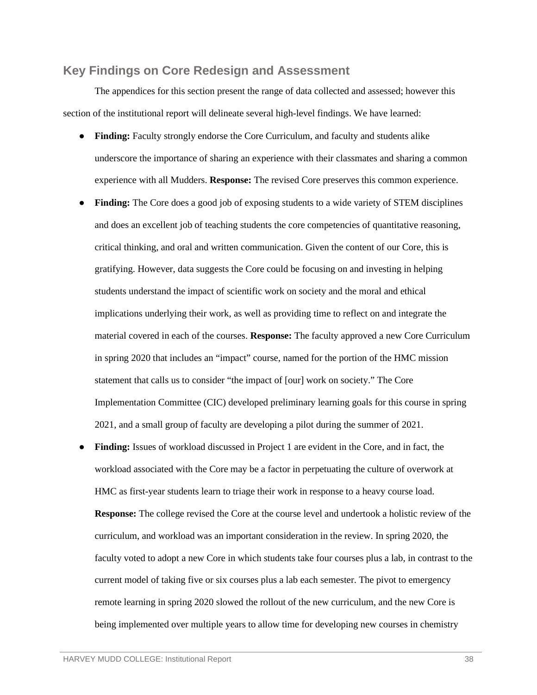#### <span id="page-40-0"></span>**Key Findings on Core Redesign and Assessment**

The appendices for this section present the range of data collected and assessed; however this section of the institutional report will delineate several high-level findings. We have learned:

- **Finding:** Faculty strongly endorse the Core Curriculum, and faculty and students alike underscore the importance of sharing an experience with their classmates and sharing a common experience with all Mudders. **Response:** The revised Core preserves this common experience.
- **Finding:** The Core does a good job of exposing students to a wide variety of STEM disciplines and does an excellent job of teaching students the core competencies of quantitative reasoning, critical thinking, and oral and written communication. Given the content of our Core, this is gratifying. However, data suggests the Core could be focusing on and investing in helping students understand the impact of scientific work on society and the moral and ethical implications underlying their work, as well as providing time to reflect on and integrate the material covered in each of the courses. **Response:** The faculty approved a new Core Curriculum in spring 2020 that includes an "impact" course, named for the portion of the HMC mission statement that calls us to consider "the impact of [our] work on society." The Core Implementation Committee (CIC) developed preliminary learning goals for this course in spring 2021, and a small group of faculty are developing a pilot during the summer of 2021.
- **Finding:** Issues of workload discussed in Project 1 are evident in the Core, and in fact, the workload associated with the Core may be a factor in perpetuating the culture of overwork at HMC as first-year students learn to triage their work in response to a heavy course load. **Response:** The college revised the Core at the course level and undertook a holistic review of the curriculum, and workload was an important consideration in the review. In spring 2020, the faculty voted to adopt a new Core in which students take four courses plus a lab, in contrast to the current model of taking five or six courses plus a lab each semester. The pivot to emergency remote learning in spring 2020 slowed the rollout of the new curriculum, and the new Core is being implemented over multiple years to allow time for developing new courses in chemistry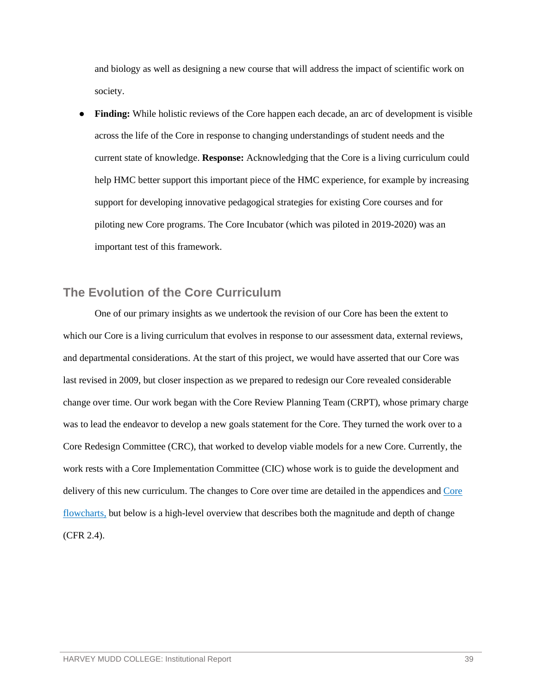and biology as well as designing a new course that will address the impact of scientific work on society.

**Finding:** While holistic reviews of the Core happen each decade, an arc of development is visible across the life of the Core in response to changing understandings of student needs and the current state of knowledge. **Response:** Acknowledging that the Core is a living curriculum could help HMC better support this important piece of the HMC experience, for example by increasing support for developing innovative pedagogical strategies for existing Core courses and for piloting new Core programs. The Core Incubator (which was piloted in 2019-2020) was an important test of this framework.

### <span id="page-41-0"></span>**The Evolution of the Core Curriculum**

One of our primary insights as we undertook the revision of our Core has been the extent to which our Core is a living curriculum that evolves in response to our assessment data, external reviews, and departmental considerations. At the start of this project, we would have asserted that our Core was last revised in 2009, but closer inspection as we prepared to redesign our Core revealed considerable change over time. Our work began with the Core Review Planning Team (CRPT), whose primary charge was to lead the endeavor to develop a new goals statement for the Core. They turned the work over to a Core Redesign Committee (CRC), that worked to develop viable models for a new Core. Currently, the work rests with a Core Implementation Committee (CIC) whose work is to guide the development and delivery of this new curriculum. The changes to Core over time are detailed in the appendices an[d Core](https://wascsenior.box.com/s/d0ebovx23va5m6manhlivwinv2f8pktn)  [flowcharts,](https://wascsenior.box.com/s/d0ebovx23va5m6manhlivwinv2f8pktn) but below is a high-level overview that describes both the magnitude and depth of change (CFR 2.4).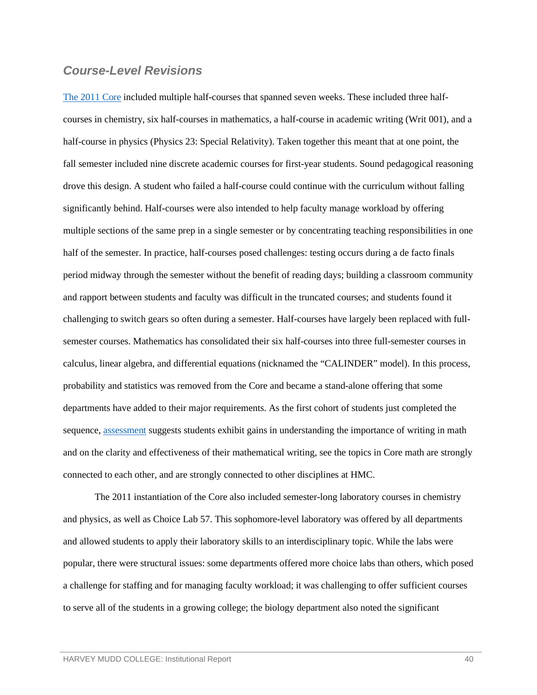### *Course-Level Revisions*

[The 2011 Core](https://wascsenior.box.com/s/6kyqn258c24h3pbs18xqh0ya3kgwcb81) included multiple half-courses that spanned seven weeks. These included three halfcourses in chemistry, six half-courses in mathematics, a half-course in academic writing (Writ 001), and a half-course in physics (Physics 23: Special Relativity). Taken together this meant that at one point, the fall semester included nine discrete academic courses for first-year students. Sound pedagogical reasoning drove this design. A student who failed a half-course could continue with the curriculum without falling significantly behind. Half-courses were also intended to help faculty manage workload by offering multiple sections of the same prep in a single semester or by concentrating teaching responsibilities in one half of the semester. In practice, half-courses posed challenges: testing occurs during a de facto finals period midway through the semester without the benefit of reading days; building a classroom community and rapport between students and faculty was difficult in the truncated courses; and students found it challenging to switch gears so often during a semester. Half-courses have largely been replaced with fullsemester courses. Mathematics has consolidated their six half-courses into three full-semester courses in calculus, linear algebra, and differential equations (nicknamed the "CALINDER" model). In this process, probability and statistics was removed from the Core and became a stand-alone offering that some departments have added to their major requirements. As the first cohort of students just completed the sequence, [assessment](https://wascsenior.box.com/s/g002p65an1kl31wpq2z6sk3n39kzoi3f) suggests students exhibit gains in understanding the importance of writing in math and on the clarity and effectiveness of their mathematical writing, see the topics in Core math are strongly connected to each other, and are strongly connected to other disciplines at HMC.

The 2011 instantiation of the Core also included semester-long laboratory courses in chemistry and physics, as well as Choice Lab 57. This sophomore-level laboratory was offered by all departments and allowed students to apply their laboratory skills to an interdisciplinary topic. While the labs were popular, there were structural issues: some departments offered more choice labs than others, which posed a challenge for staffing and for managing faculty workload; it was challenging to offer sufficient courses to serve all of the students in a growing college; the biology department also noted the significant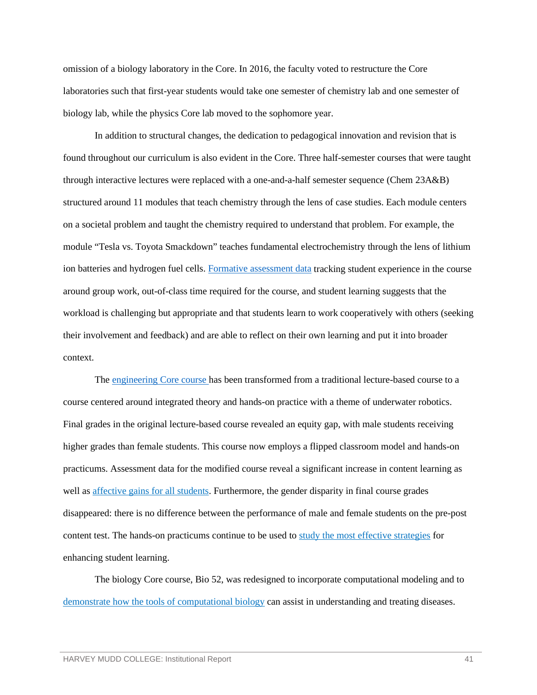omission of a biology laboratory in the Core. In 2016, the faculty voted to restructure the Core laboratories such that first-year students would take one semester of chemistry lab and one semester of biology lab, while the physics Core lab moved to the sophomore year.

In addition to structural changes, the dedication to pedagogical innovation and revision that is found throughout our curriculum is also evident in the Core. Three half-semester courses that were taught through interactive lectures were replaced with a one-and-a-half semester sequence (Chem 23A&B) structured around 11 modules that teach chemistry through the lens of case studies. Each module centers on a societal problem and taught the chemistry required to understand that problem. For example, the module "Tesla vs. Toyota Smackdown" teaches fundamental electrochemistry through the lens of lithium ion batteries and hydrogen fuel cells. [Formative assessment data](https://wascsenior.box.com/s/rskh8ri23nr4v5gqwegbnwz4w74ga6x3) tracking student experience in the course around group work, out-of-class time required for the course, and student learning suggests that the workload is challenging but appropriate and that students learn to work cooperatively with others (seeking their involvement and feedback) and are able to reflect on their own learning and put it into broader context.

The [engineering Core course h](https://www.forbes.com/sites/mariaklawe/2017/11/15/new-intro-engineering-course-engages-students-in-underwater-robotics/?sh=1e1a85d27792)as been transformed from a traditional lecture-based course to a course centered around integrated theory and hands-on practice with a theme of underwater robotics. Final grades in the original lecture-based course revealed an equity gap, with male students receiving higher grades than female students. This course now employs a flipped classroom model and hands-on practicums. Assessment data for the modified course reveal a significant increase in content learning as well as [affective gains for all students.](https://wascsenior.box.com/s/ujsgl1peq4avroe0bhcxgoj376414o1q) Furthermore, the gender disparity in final course grades disappeared: there is no difference between the performance of male and female students on the pre-post content test. The hands-on practicums continue to be used to [study the most effective strategies](https://wascsenior.box.com/s/hx8l4f5d9hrm7eyclhd6n09ylsxle71j) for enhancing student learning.

The biology Core course, Bio 52, was redesigned to incorporate computational modeling and to [demonstrate how the tools of computational biology](https://wascsenior.box.com/s/qfrt517lwb6yv4htkadfhzg51bupsczc) can assist in understanding and treating diseases.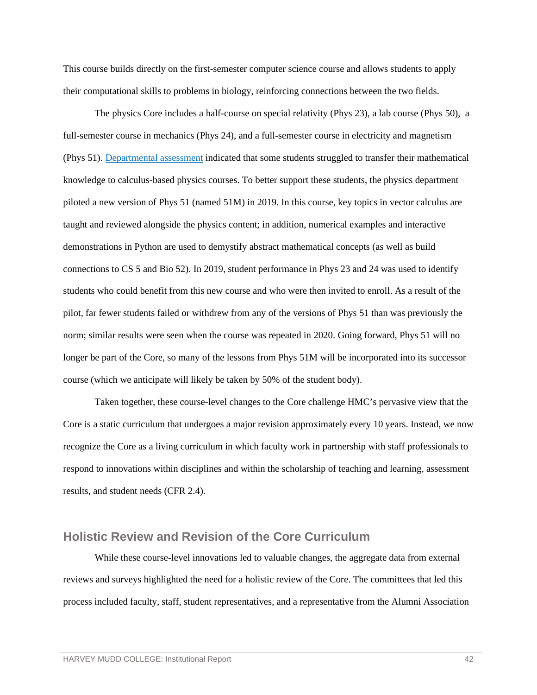This course builds directly on the first-semester computer science course and allows students to apply their computational skills to problems in biology, reinforcing connections between the two fields.

The physics Core includes a half-course on special relativity (Phys 23), a lab course (Phys 50), a full-semester course in mechanics (Phys 24), and a full-semester course in electricity and magnetism (Phys 51). [Departmental assessment](https://wascsenior.box.com/s/tch73fo4qexd7jg6tnvpd7m62zyd984n) indicated that some students struggled to transfer their mathematical knowledge to calculus-based physics courses. To better support these students, the physics department piloted a new version of Phys 51 (named 51M) in 2019. In this course, key topics in vector calculus are taught and reviewed alongside the physics content; in addition, numerical examples and interactive demonstrations in Python are used to demystify abstract mathematical concepts (as well as build connections to CS 5 and Bio 52). In 2019, student performance in Phys 23 and 24 was used to identify students who could benefit from this new course and who were then invited to enroll. As a result of the pilot, far fewer students failed or withdrew from any of the versions of Phys 51 than was previously the norm; similar results were seen when the course was repeated in 2020. Going forward, Phys 51 will no longer be part of the Core, so many of the lessons from Phys 51M will be incorporated into its successor course (which we anticipate will likely be taken by 50% of the student body).

Taken together, these course-level changes to the Core challenge HMC's pervasive view that the Core is a static curriculum that undergoes a major revision approximately every 10 years. Instead, we now recognize the Core as a living curriculum in which faculty work in partnership with staff professionals to respond to innovations within disciplines and within the scholarship of teaching and learning, assessment results, and student needs (CFR 2.4).

### <span id="page-44-0"></span>**Holistic Review and Revision of the Core Curriculum**

While these course-level innovations led to valuable changes, the aggregate data from external reviews and surveys highlighted the need for a holistic review of the Core. The committees that led this process included faculty, staff, student representatives, and a representative from the Alumni Association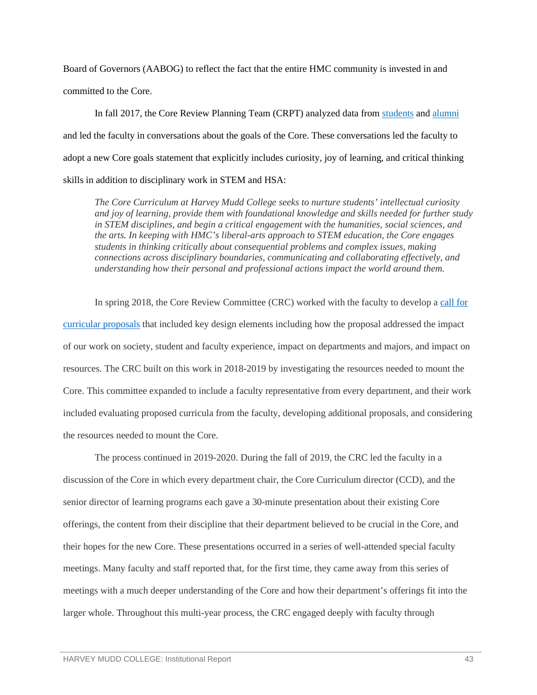Board of Governors (AABOG) to reflect the fact that the entire HMC community is invested in and committed to the Core.

In fall 2017, the Core Review Planning Team (CRPT) analyzed data from [students](https://wascsenior.box.com/s/27ndf471ugtz0dk5hbteszlmtzgeetlj) and [alumni](https://wascsenior.box.com/s/scw4honwqlz6jcqsqcwzbexweda1f1gh) and led the faculty in conversations about the goals of the Core. These conversations led the faculty to adopt a new Core goals statement that explicitly includes curiosity, joy of learning, and critical thinking skills in addition to disciplinary work in STEM and HSA:

*The Core Curriculum at Harvey Mudd College seeks to nurture students' intellectual curiosity and joy of learning, provide them with foundational knowledge and skills needed for further study in STEM disciplines, and begin a critical engagement with the humanities, social sciences, and the arts. In keeping with HMC's liberal-arts approach to STEM education, the Core engages students in thinking critically about consequential problems and complex issues, making connections across disciplinary boundaries, communicating and collaborating effectively, and understanding how their personal and professional actions impact the world around them.*

In spring 2018, the Core Review Committee (CRC) worked with the faculty to develop a [call for](https://wascsenior.box.com/s/p972eweodvyjqpgw6ldxx0tf6g8rs76s)  [curricular proposals](https://wascsenior.box.com/s/p972eweodvyjqpgw6ldxx0tf6g8rs76s) that included key design elements including how the proposal addressed the impact of our work on society, student and faculty experience, impact on departments and majors, and impact on resources. The CRC built on this work in 2018-2019 by investigating the resources needed to mount the Core. This committee expanded to include a faculty representative from every department, and their work included evaluating proposed curricula from the faculty, developing additional proposals, and considering the resources needed to mount the Core.

The process continued in 2019-2020. During the fall of 2019, the CRC led the faculty in a discussion of the Core in which every department chair, the Core Curriculum director (CCD), and the senior director of learning programs each gave a 30-minute presentation about their existing Core offerings, the content from their discipline that their department believed to be crucial in the Core, and their hopes for the new Core. These presentations occurred in a series of well-attended special faculty meetings. Many faculty and staff reported that, for the first time, they came away from this series of meetings with a much deeper understanding of the Core and how their department's offerings fit into the larger whole. Throughout this multi-year process, the CRC engaged deeply with faculty through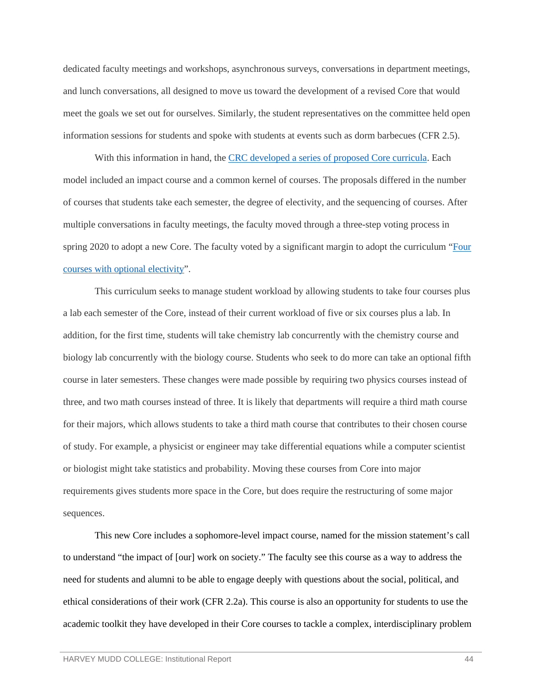dedicated faculty meetings and workshops, asynchronous surveys, conversations in department meetings, and lunch conversations, all designed to move us toward the development of a revised Core that would meet the goals we set out for ourselves. Similarly, the student representatives on the committee held open information sessions for students and spoke with students at events such as dorm barbecues (CFR 2.5).

With this information in hand, the [CRC developed a series of proposed Core curricula.](https://wascsenior.box.com/s/epin5m9y6efko1gdfucoulhl2qyxtzf8) Each model included an impact course and a common kernel of courses. The proposals differed in the number of courses that students take each semester, the degree of electivity, and the sequencing of courses. After multiple conversations in faculty meetings, the faculty moved through a three-step voting process in spring 2020 to adopt a new Core. The faculty voted by a significant margin to adopt the curriculum ["Four](https://www.hmc.edu/core-implementation/proposal-4-four-courses-with-optional-electivity/)  [courses with optional electivity"](https://www.hmc.edu/core-implementation/proposal-4-four-courses-with-optional-electivity/).

This curriculum seeks to manage student workload by allowing students to take four courses plus a lab each semester of the Core, instead of their current workload of five or six courses plus a lab. In addition, for the first time, students will take chemistry lab concurrently with the chemistry course and biology lab concurrently with the biology course. Students who seek to do more can take an optional fifth course in later semesters. These changes were made possible by requiring two physics courses instead of three, and two math courses instead of three. It is likely that departments will require a third math course for their majors, which allows students to take a third math course that contributes to their chosen course of study. For example, a physicist or engineer may take differential equations while a computer scientist or biologist might take statistics and probability. Moving these courses from Core into major requirements gives students more space in the Core, but does require the restructuring of some major sequences.

This new Core includes a sophomore-level impact course, named for the mission statement's call to understand "the impact of [our] work on society." The faculty see this course as a way to address the need for students and alumni to be able to engage deeply with questions about the social, political, and ethical considerations of their work (CFR 2.2a). This course is also an opportunity for students to use the academic toolkit they have developed in their Core courses to tackle a complex, interdisciplinary problem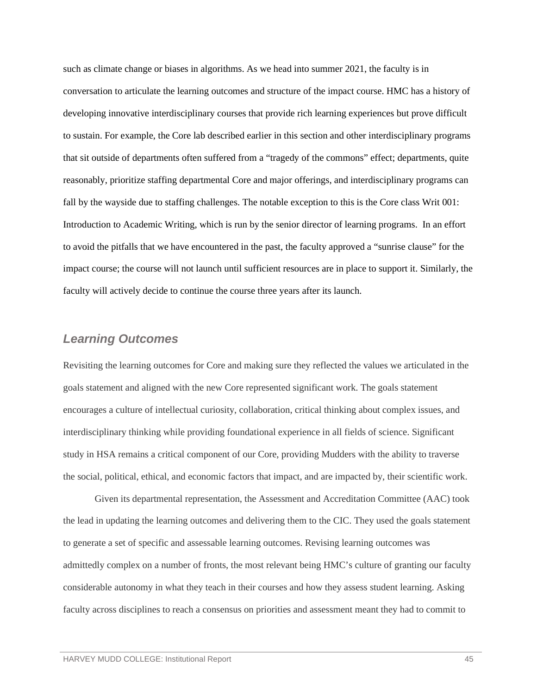such as climate change or biases in algorithms. As we head into summer 2021, the faculty is in conversation to articulate the learning outcomes and structure of the impact course. HMC has a history of developing innovative interdisciplinary courses that provide rich learning experiences but prove difficult to sustain. For example, the Core lab described earlier in this section and other interdisciplinary programs that sit outside of departments often suffered from a "tragedy of the commons" effect; departments, quite reasonably, prioritize staffing departmental Core and major offerings, and interdisciplinary programs can fall by the wayside due to staffing challenges. The notable exception to this is the Core class Writ 001: Introduction to Academic Writing, which is run by the senior director of learning programs. In an effort to avoid the pitfalls that we have encountered in the past, the faculty approved a "sunrise clause" for the impact course; the course will not launch until sufficient resources are in place to support it. Similarly, the faculty will actively decide to continue the course three years after its launch.

### *Learning Outcomes*

Revisiting the learning outcomes for Core and making sure they reflected the values we articulated in the goals statement and aligned with the new Core represented significant work. The goals statement encourages a culture of intellectual curiosity, collaboration, critical thinking about complex issues, and interdisciplinary thinking while providing foundational experience in all fields of science. Significant study in HSA remains a critical component of our Core, providing Mudders with the ability to traverse the social, political, ethical, and economic factors that impact, and are impacted by, their scientific work.

Given its departmental representation, the Assessment and Accreditation Committee (AAC) took the lead in updating the learning outcomes and delivering them to the CIC. They used the goals statement to generate a set of specific and assessable learning outcomes. Revising learning outcomes was admittedly complex on a number of fronts, the most relevant being HMC's culture of granting our faculty considerable autonomy in what they teach in their courses and how they assess student learning. Asking faculty across disciplines to reach a consensus on priorities and assessment meant they had to commit to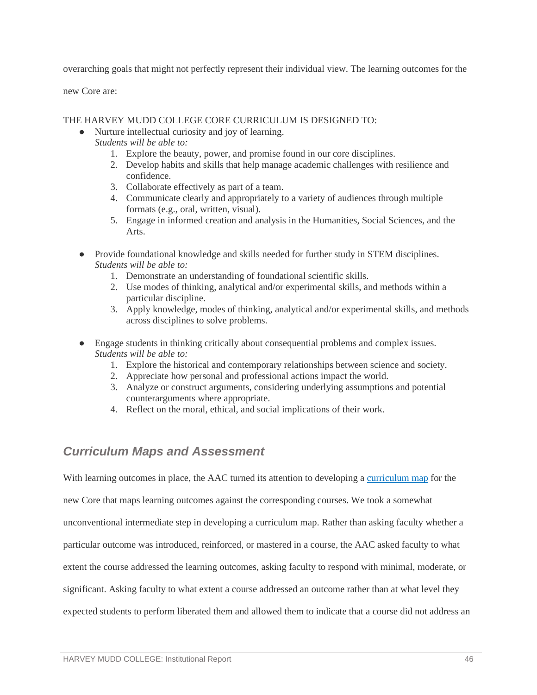overarching goals that might not perfectly represent their individual view. The learning outcomes for the

new Core are:

THE HARVEY MUDD COLLEGE CORE CURRICULUM IS DESIGNED TO:

- Nurture intellectual curiosity and joy of learning.
	- *Students will be able to:*
		- 1. Explore the beauty, power, and promise found in our core disciplines.
		- 2. Develop habits and skills that help manage academic challenges with resilience and confidence.
		- 3. Collaborate effectively as part of a team.
		- 4. Communicate clearly and appropriately to a variety of audiences through multiple formats (e.g., oral, written, visual).
		- 5. Engage in informed creation and analysis in the Humanities, Social Sciences, and the Arts.
- Provide foundational knowledge and skills needed for further study in STEM disciplines. *Students will be able to:*
	- 1. Demonstrate an understanding of foundational scientific skills.
	- 2. Use modes of thinking, analytical and/or experimental skills, and methods within a particular discipline.
	- 3. Apply knowledge, modes of thinking, analytical and/or experimental skills, and methods across disciplines to solve problems.
- Engage students in thinking critically about consequential problems and complex issues. *Students will be able to:*
	- 1. Explore the historical and contemporary relationships between science and society.
	- 2. Appreciate how personal and professional actions impact the world.
	- 3. Analyze or construct arguments, considering underlying assumptions and potential counterarguments where appropriate.
	- 4. Reflect on the moral, ethical, and social implications of their work.

## *Curriculum Maps and Assessment*

With learning outcomes in place, the AAC turned its attention to developing a [curriculum map](https://wascsenior.box.com/s/zosabdmp4levq87291md8sc4e7o9ny9h) for the

new Core that maps learning outcomes against the corresponding courses. We took a somewhat

unconventional intermediate step in developing a curriculum map. Rather than asking faculty whether a

particular outcome was introduced, reinforced, or mastered in a course, the AAC asked faculty to what

extent the course addressed the learning outcomes, asking faculty to respond with minimal, moderate, or

significant. Asking faculty to what extent a course addressed an outcome rather than at what level they

expected students to perform liberated them and allowed them to indicate that a course did not address an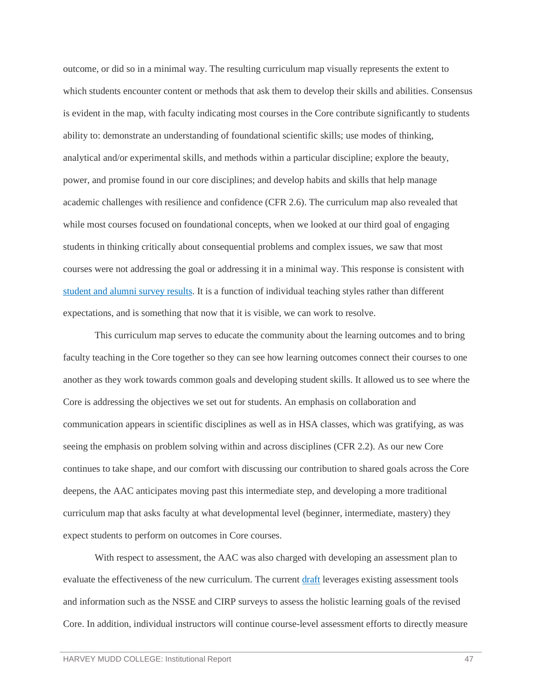outcome, or did so in a minimal way. The resulting curriculum map visually represents the extent to which students encounter content or methods that ask them to develop their skills and abilities. Consensus is evident in the map, with faculty indicating most courses in the Core contribute significantly to students ability to: demonstrate an understanding of foundational scientific skills; use modes of thinking, analytical and/or experimental skills, and methods within a particular discipline; explore the beauty, power, and promise found in our core disciplines; and develop habits and skills that help manage academic challenges with resilience and confidence (CFR 2.6). The curriculum map also revealed that while most courses focused on foundational concepts, when we looked at our third goal of engaging students in thinking critically about consequential problems and complex issues, we saw that most courses were not addressing the goal or addressing it in a minimal way. This response is consistent with [student and alumni survey results.](https://wascsenior.box.com/s/j35597nlxdkgsc7966ntzpeljm00vpu9) It is a function of individual teaching styles rather than different expectations, and is something that now that it is visible, we can work to resolve.

This curriculum map serves to educate the community about the learning outcomes and to bring faculty teaching in the Core together so they can see how learning outcomes connect their courses to one another as they work towards common goals and developing student skills. It allowed us to see where the Core is addressing the objectives we set out for students. An emphasis on collaboration and communication appears in scientific disciplines as well as in HSA classes, which was gratifying, as was seeing the emphasis on problem solving within and across disciplines (CFR 2.2). As our new Core continues to take shape, and our comfort with discussing our contribution to shared goals across the Core deepens, the AAC anticipates moving past this intermediate step, and developing a more traditional curriculum map that asks faculty at what developmental level (beginner, intermediate, mastery) they expect students to perform on outcomes in Core courses.

With respect to assessment, the AAC was also charged with developing an assessment plan to evaluate the effectiveness of the new curriculum. The current [draft](https://wascsenior.box.com/s/bm3pqpjlk256yuh37wy6jz1tdxw45unm) leverages existing assessment tools and information such as the NSSE and CIRP surveys to assess the holistic learning goals of the revised Core. In addition, individual instructors will continue course-level assessment efforts to directly measure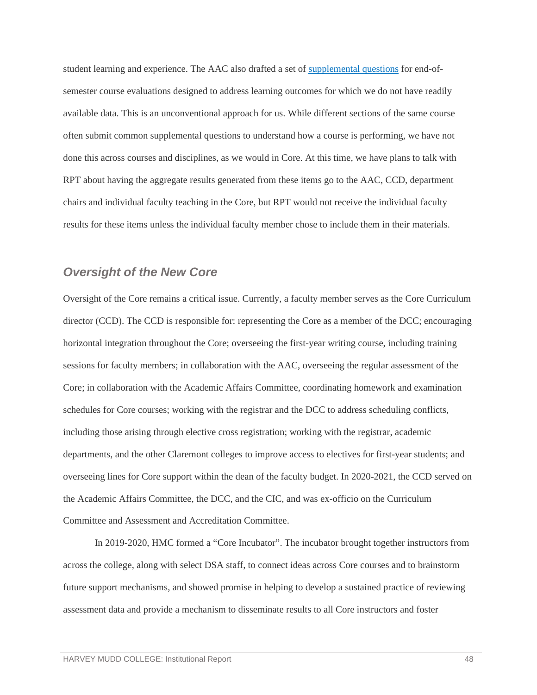student learning and experience. The AAC also drafted a set of [supplemental questions](https://wascsenior.box.com/s/ac2xwyuu8pq0c4c1csyqukty5yx79kf4) for end-ofsemester course evaluations designed to address learning outcomes for which we do not have readily available data. This is an unconventional approach for us. While different sections of the same course often submit common supplemental questions to understand how a course is performing, we have not done this across courses and disciplines, as we would in Core. At this time, we have plans to talk with RPT about having the aggregate results generated from these items go to the AAC, CCD, department chairs and individual faculty teaching in the Core, but RPT would not receive the individual faculty results for these items unless the individual faculty member chose to include them in their materials.

## *Oversight of the New Core*

Oversight of the Core remains a critical issue. Currently, a faculty member serves as the Core Curriculum director (CCD). The CCD is responsible for: representing the Core as a member of the DCC; encouraging horizontal integration throughout the Core; overseeing the first-year writing course, including training sessions for faculty members; in collaboration with the AAC, overseeing the regular assessment of the Core; in collaboration with the Academic Affairs Committee, coordinating homework and examination schedules for Core courses; working with the registrar and the DCC to address scheduling conflicts, including those arising through elective cross registration; working with the registrar, academic departments, and the other Claremont colleges to improve access to electives for first-year students; and overseeing lines for Core support within the dean of the faculty budget. In 2020-2021, the CCD served on the Academic Affairs Committee, the DCC, and the CIC, and was ex-officio on the Curriculum Committee and Assessment and Accreditation Committee.

In 2019-2020, HMC formed a "Core Incubator". The incubator brought together instructors from across the college, along with select DSA staff, to connect ideas across Core courses and to brainstorm future support mechanisms, and showed promise in helping to develop a sustained practice of reviewing assessment data and provide a mechanism to disseminate results to all Core instructors and foster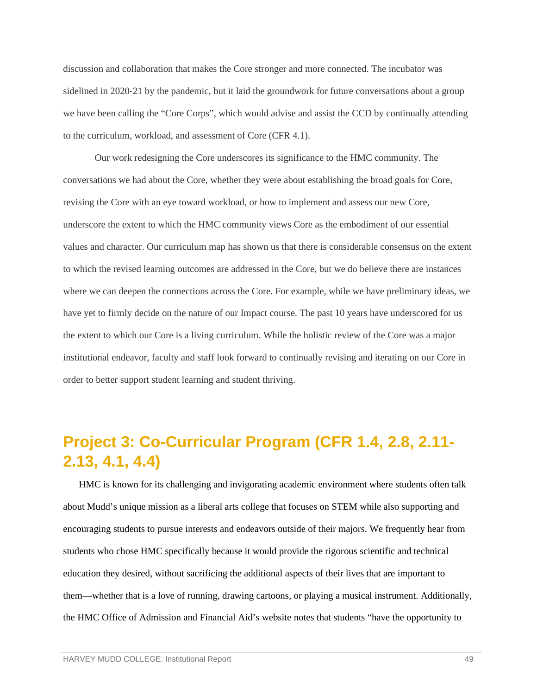discussion and collaboration that makes the Core stronger and more connected. The incubator was sidelined in 2020-21 by the pandemic, but it laid the groundwork for future conversations about a group we have been calling the "Core Corps", which would advise and assist the CCD by continually attending to the curriculum, workload, and assessment of Core (CFR 4.1).

Our work redesigning the Core underscores its significance to the HMC community. The conversations we had about the Core, whether they were about establishing the broad goals for Core, revising the Core with an eye toward workload, or how to implement and assess our new Core, underscore the extent to which the HMC community views Core as the embodiment of our essential values and character. Our curriculum map has shown us that there is considerable consensus on the extent to which the revised learning outcomes are addressed in the Core, but we do believe there are instances where we can deepen the connections across the Core. For example, while we have preliminary ideas, we have yet to firmly decide on the nature of our Impact course. The past 10 years have underscored for us the extent to which our Core is a living curriculum. While the holistic review of the Core was a major institutional endeavor, faculty and staff look forward to continually revising and iterating on our Core in order to better support student learning and student thriving.

# <span id="page-51-0"></span>**Project 3: Co-Curricular Program (CFR 1.4, 2.8, 2.11- 2.13, 4.1, 4.4)**

HMC is known for its challenging and invigorating academic environment where students often talk about Mudd's unique mission as a liberal arts college that focuses on STEM while also supporting and encouraging students to pursue interests and endeavors outside of their majors. We frequently hear from students who chose HMC specifically because it would provide the rigorous scientific and technical education they desired, without sacrificing the additional aspects of their lives that are important to them—whether that is a love of running, drawing cartoons, or playing a musical instrument. Additionally, the HMC Office of Admission and Financial Aid's website notes that students "have the opportunity to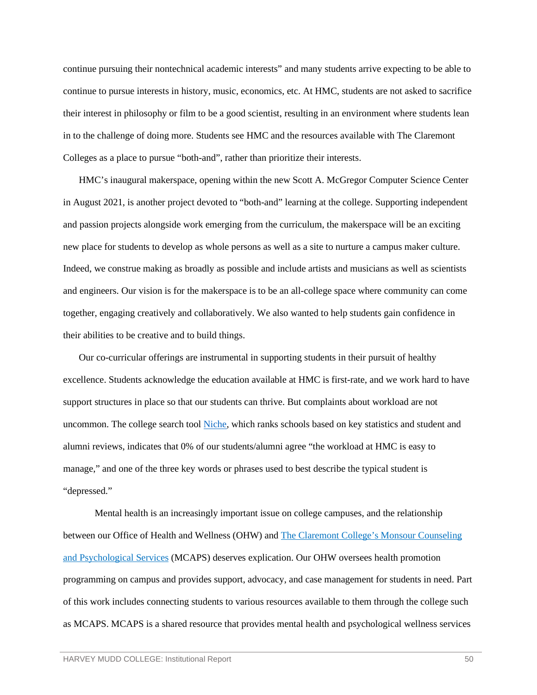continue pursuing their nontechnical academic interests" and many students arrive expecting to be able to continue to pursue interests in history, music, economics, etc. At HMC, students are not asked to sacrifice their interest in philosophy or film to be a good scientist, resulting in an environment where students lean in to the challenge of doing more. Students see HMC and the resources available with The Claremont Colleges as a place to pursue "both-and", rather than prioritize their interests.

HMC's inaugural makerspace, opening within the new Scott A. McGregor Computer Science Center in August 2021, is another project devoted to "both-and" learning at the college. Supporting independent and passion projects alongside work emerging from the curriculum, the makerspace will be an exciting new place for students to develop as whole persons as well as a site to nurture a campus maker culture. Indeed, we construe making as broadly as possible and include artists and musicians as well as scientists and engineers. Our vision is for the makerspace is to be an all-college space where community can come together, engaging creatively and collaboratively. We also wanted to help students gain confidence in their abilities to be creative and to build things.

Our co-curricular offerings are instrumental in supporting students in their pursuit of healthy excellence. Students acknowledge the education available at HMC is first-rate, and we work hard to have support structures in place so that our students can thrive. But complaints about workload are not uncommon. The college search tool [Niche,](https://www.niche.com/colleges/harvey-mudd-college/) which ranks schools based on key statistics and student and alumni reviews, indicates that 0% of our students/alumni agree "the workload at HMC is easy to manage," and one of the three key words or phrases used to best describe the typical student is "depressed."

Mental health is an increasingly important issue on college campuses, and the relationship between our Office of Health and Wellness (OHW) and [The Claremont College's Monsour Counseling](https://services.claremont.edu/mcaps/)  [and Psychological Services](https://services.claremont.edu/mcaps/) (MCAPS) deserves explication. Our OHW oversees health promotion programming on campus and provides support, advocacy, and case management for students in need. Part of this work includes connecting students to various resources available to them through the college such as MCAPS. MCAPS is a shared resource that provides mental health and psychological wellness services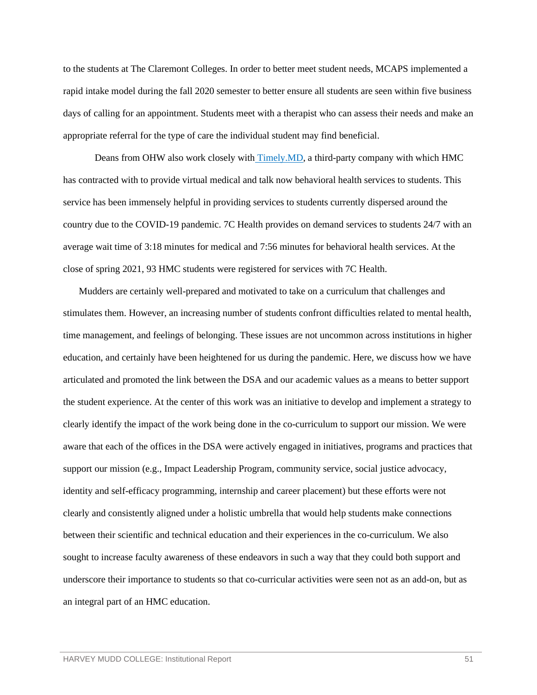to the students at The Claremont Colleges. In order to better meet student needs, MCAPS implemented a rapid intake model during the fall 2020 semester to better ensure all students are seen within five business days of calling for an appointment. Students meet with a therapist who can assess their needs and make an appropriate referral for the type of care the individual student may find beneficial.

Deans from OHW also work closely with [Timely.MD,](https://timely.md/faq/7c-health-the-claremont-colleges/) a third-party company with which HMC has contracted with to provide virtual medical and talk now behavioral health services to students. This service has been immensely helpful in providing services to students currently dispersed around the country due to the COVID-19 pandemic. 7C Health provides on demand services to students 24/7 with an average wait time of 3:18 minutes for medical and 7:56 minutes for behavioral health services. At the close of spring 2021, 93 HMC students were registered for services with 7C Health.

Mudders are certainly well-prepared and motivated to take on a curriculum that challenges and stimulates them. However, an increasing number of students confront difficulties related to mental health, time management, and feelings of belonging. These issues are not uncommon across institutions in higher education, and certainly have been heightened for us during the pandemic. Here, we discuss how we have articulated and promoted the link between the DSA and our academic values as a means to better support the student experience. At the center of this work was an initiative to develop and implement a strategy to clearly identify the impact of the work being done in the co-curriculum to support our mission. We were aware that each of the offices in the DSA were actively engaged in initiatives, programs and practices that support our mission (e.g., Impact Leadership Program, community service, social justice advocacy, identity and self-efficacy programming, internship and career placement) but these efforts were not clearly and consistently aligned under a holistic umbrella that would help students make connections between their scientific and technical education and their experiences in the co-curriculum. We also sought to increase faculty awareness of these endeavors in such a way that they could both support and underscore their importance to students so that co-curricular activities were seen not as an add-on, but as an integral part of an HMC education.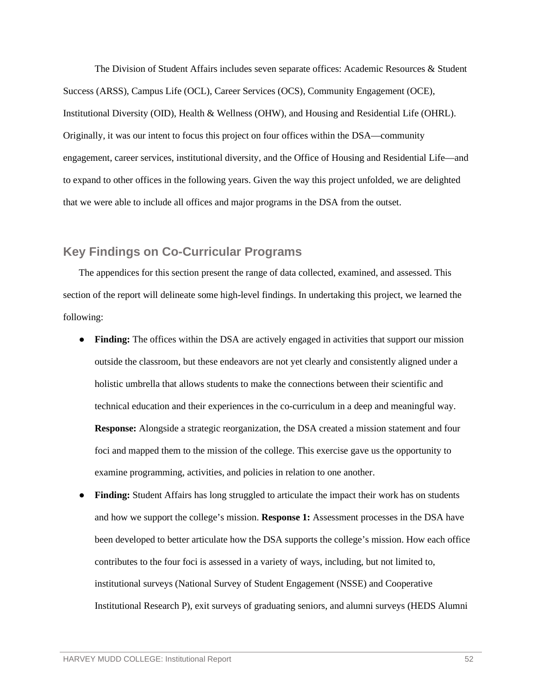The Division of Student Affairs includes seven separate offices: Academic Resources & Student Success (ARSS), Campus Life (OCL), Career Services (OCS), Community Engagement (OCE), Institutional Diversity (OID), Health & Wellness (OHW), and Housing and Residential Life (OHRL). Originally, it was our intent to focus this project on four offices within the DSA—community engagement, career services, institutional diversity, and the Office of Housing and Residential Life—and to expand to other offices in the following years. Given the way this project unfolded, we are delighted that we were able to include all offices and major programs in the DSA from the outset.

### <span id="page-54-0"></span>**Key Findings on Co-Curricular Programs**

The appendices for this section present the range of data collected, examined, and assessed. This section of the report will delineate some high-level findings. In undertaking this project, we learned the following:

- **Finding:** The offices within the DSA are actively engaged in activities that support our mission outside the classroom, but these endeavors are not yet clearly and consistently aligned under a holistic umbrella that allows students to make the connections between their scientific and technical education and their experiences in the co-curriculum in a deep and meaningful way. **Response:** Alongside a strategic reorganization, the DSA created a mission statement and four foci and mapped them to the mission of the college. This exercise gave us the opportunity to examine programming, activities, and policies in relation to one another.
- **Finding:** Student Affairs has long struggled to articulate the impact their work has on students and how we support the college's mission. **Response 1:** Assessment processes in the DSA have been developed to better articulate how the DSA supports the college's mission. How each office contributes to the four foci is assessed in a variety of ways, including, but not limited to, institutional surveys (National Survey of Student Engagement (NSSE) and Cooperative Institutional Research P), exit surveys of graduating seniors, and alumni surveys (HEDS Alumni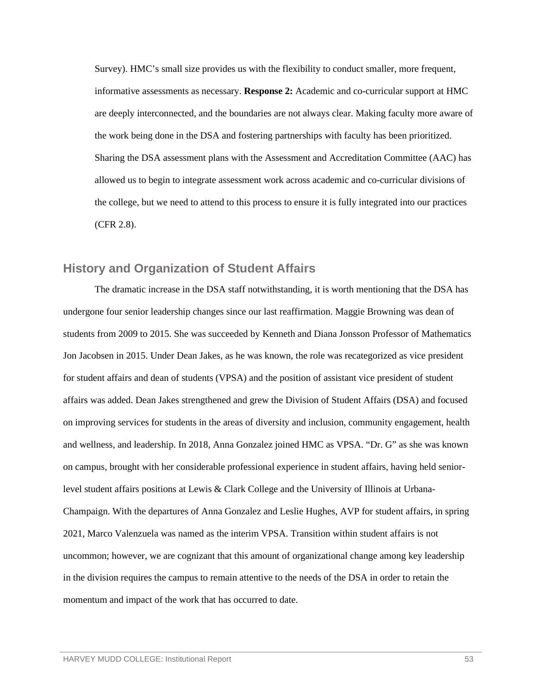Survey). HMC's small size provides us with the flexibility to conduct smaller, more frequent, informative assessments as necessary. **Response 2:** Academic and co-curricular support at HMC are deeply interconnected, and the boundaries are not always clear. Making faculty more aware of the work being done in the DSA and fostering partnerships with faculty has been prioritized. Sharing the DSA assessment plans with the Assessment and Accreditation Committee (AAC) has allowed us to begin to integrate assessment work across academic and co-curricular divisions of the college, but we need to attend to this process to ensure it is fully integrated into our practices (CFR 2.8).

### <span id="page-55-0"></span>**History and Organization of Student Affairs**

The dramatic increase in the DSA staff notwithstanding, it is worth mentioning that the DSA has undergone four senior leadership changes since our last reaffirmation. Maggie Browning was dean of students from 2009 to 2015. She was succeeded by Kenneth and Diana Jonsson Professor of Mathematics Jon Jacobsen in 2015. Under Dean Jakes, as he was known, the role was recategorized as vice president for student affairs and dean of students (VPSA) and the position of assistant vice president of student affairs was added. Dean Jakes strengthened and grew the Division of Student Affairs (DSA) and focused on improving services for students in the areas of diversity and inclusion, community engagement, health and wellness, and leadership. In 2018, Anna Gonzalez joined HMC as VPSA. "Dr. G" as she was known on campus, brought with her considerable professional experience in student affairs, having held seniorlevel student affairs positions at Lewis & Clark College and the University of Illinois at Urbana-Champaign. With the departures of Anna Gonzalez and Leslie Hughes, AVP for student affairs, in spring 2021, Marco Valenzuela was named as the interim VPSA. Transition within student affairs is not uncommon; however, we are cognizant that this amount of organizational change among key leadership in the division requires the campus to remain attentive to the needs of the DSA in order to retain the momentum and impact of the work that has occurred to date.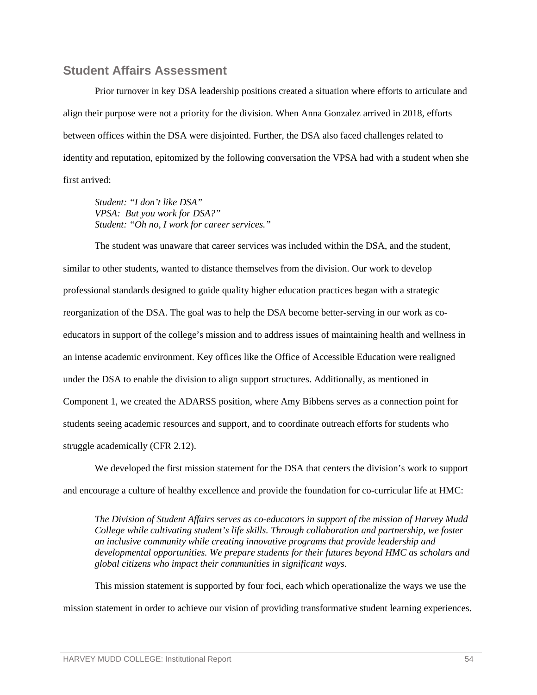#### <span id="page-56-0"></span>**Student Affairs Assessment**

Prior turnover in key DSA leadership positions created a situation where efforts to articulate and align their purpose were not a priority for the division. When Anna Gonzalez arrived in 2018, efforts between offices within the DSA were disjointed. Further, the DSA also faced challenges related to identity and reputation, epitomized by the following conversation the VPSA had with a student when she first arrived:

*Student: "I don't like DSA" VPSA: But you work for DSA?" Student: "Oh no, I work for career services."*

The student was unaware that career services was included within the DSA, and the student, similar to other students, wanted to distance themselves from the division. Our work to develop professional standards designed to guide quality higher education practices began with a strategic reorganization of the DSA. The goal was to help the DSA become better-serving in our work as coeducators in support of the college's mission and to address issues of maintaining health and wellness in an intense academic environment. Key offices like the Office of Accessible Education were realigned under the DSA to enable the division to align support structures. Additionally, as mentioned in Component 1, we created the ADARSS position, where Amy Bibbens serves as a connection point for students seeing academic resources and support, and to coordinate outreach efforts for students who struggle academically (CFR 2.12).

We developed the first mission statement for the DSA that centers the division's work to support and encourage a culture of healthy excellence and provide the foundation for co-curricular life at HMC:

*The Division of Student Affairs serves as co-educators in support of the mission of Harvey Mudd College while cultivating student's life skills. Through collaboration and partnership, we foster an inclusive community while creating innovative programs that provide leadership and developmental opportunities. We prepare students for their futures beyond HMC as scholars and global citizens who impact their communities in significant ways.*

This mission statement is supported by four foci, each which operationalize the ways we use the mission statement in order to achieve our vision of providing transformative student learning experiences.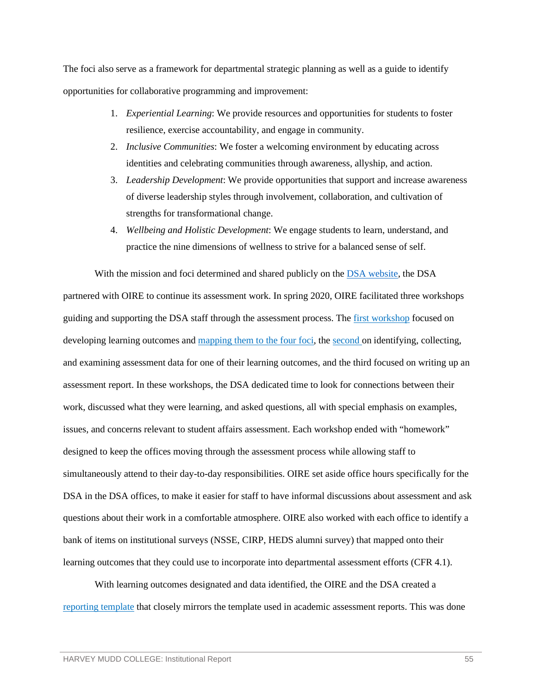The foci also serve as a framework for departmental strategic planning as well as a guide to identify opportunities for collaborative programming and improvement:

- 1. *Experiential Learning*: We provide resources and opportunities for students to foster resilience, exercise accountability, and engage in community.
- 2. *Inclusive Communities*: We foster a welcoming environment by educating across identities and celebrating communities through awareness, allyship, and action.
- 3. *Leadership Development*: We provide opportunities that support and increase awareness of diverse leadership styles through involvement, collaboration, and cultivation of strengths for transformational change.
- 4. *Wellbeing and Holistic Development*: We engage students to learn, understand, and practice the nine dimensions of wellness to strive for a balanced sense of self.

With the mission and foci determined and shared publicly on the [DSA website,](https://www.hmc.edu/student-life/mission/) the DSA partnered with OIRE to continue its assessment work. In spring 2020, OIRE facilitated three workshops guiding and supporting the DSA staff through the assessment process. The [first workshop](https://wascsenior.box.com/s/mr45xyxqse1mh6xcbcdn4gjwahljyq0b) focused on developing learning outcomes and [mapping them to the four foci,](https://wascsenior.box.com/s/iy9kj1mbr31hdpkg57wg741ofbdzq703) the [second o](https://wascsenior.box.com/s/ammoq37uovfcoh6lakhjcjm0rl7bsp2b)n identifying, collecting, and examining assessment data for one of their learning outcomes, and the third focused on writing up an assessment report. In these workshops, the DSA dedicated time to look for connections between their work, discussed what they were learning, and asked questions, all with special emphasis on examples, issues, and concerns relevant to student affairs assessment. Each workshop ended with "homework" designed to keep the offices moving through the assessment process while allowing staff to simultaneously attend to their day-to-day responsibilities. OIRE set aside office hours specifically for the DSA in the DSA offices, to make it easier for staff to have informal discussions about assessment and ask questions about their work in a comfortable atmosphere. OIRE also worked with each office to identify a bank of items on institutional surveys (NSSE, CIRP, HEDS alumni survey) that mapped onto their learning outcomes that they could use to incorporate into departmental assessment efforts (CFR 4.1).

With learning outcomes designated and data identified, the OIRE and the DSA created a [reporting template](https://wascsenior.box.com/s/4npnzb394so1xqxjzh0ccdpeekrzrptu) that closely mirrors the template used in academic assessment reports. This was done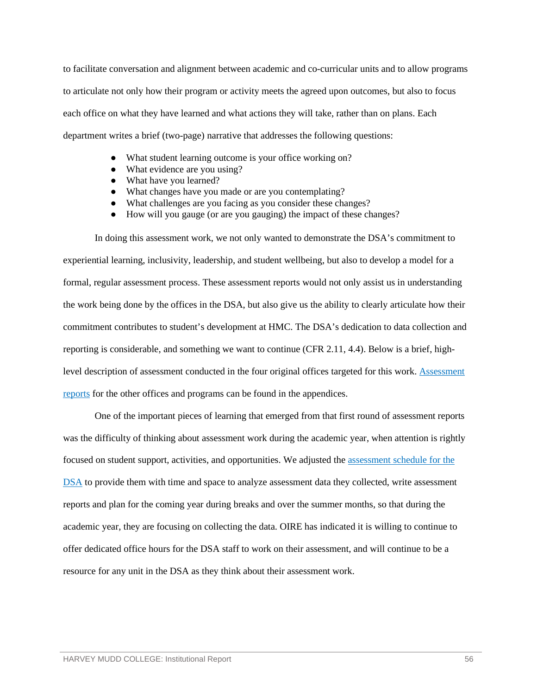to facilitate conversation and alignment between academic and co-curricular units and to allow programs to articulate not only how their program or activity meets the agreed upon outcomes, but also to focus each office on what they have learned and what actions they will take, rather than on plans. Each department writes a brief (two-page) narrative that addresses the following questions:

- What student learning outcome is your office working on?
- What evidence are you using?
- What have you learned?
- What changes have you made or are you contemplating?
- What challenges are you facing as you consider these changes?
- How will you gauge (or are you gauging) the impact of these changes?

In doing this assessment work, we not only wanted to demonstrate the DSA's commitment to experiential learning, inclusivity, leadership, and student wellbeing, but also to develop a model for a formal, regular assessment process. These assessment reports would not only assist us in understanding the work being done by the offices in the DSA, but also give us the ability to clearly articulate how their commitment contributes to student's development at HMC. The DSA's dedication to data collection and reporting is considerable, and something we want to continue (CFR 2.11, 4.4). Below is a brief, highlevel description of assessment conducted in the four original offices targeted for this work. [Assessment](https://wascsenior.box.com/s/c3rduq3dbk2j617zxjcamasuhmox2sti)  [reports](https://wascsenior.box.com/s/c3rduq3dbk2j617zxjcamasuhmox2sti) for the other offices and programs can be found in the appendices.

One of the important pieces of learning that emerged from that first round of assessment reports was the difficulty of thinking about assessment work during the academic year, when attention is rightly focused on student support, activities, and opportunities. We adjusted th[e assessment schedule for the](https://wascsenior.box.com/s/irxe2ylmhliqu3vnndk8fsx281emrjex)  [DSA](https://wascsenior.box.com/s/irxe2ylmhliqu3vnndk8fsx281emrjex) to provide them with time and space to analyze assessment data they collected, write assessment reports and plan for the coming year during breaks and over the summer months, so that during the academic year, they are focusing on collecting the data. OIRE has indicated it is willing to continue to offer dedicated office hours for the DSA staff to work on their assessment, and will continue to be a resource for any unit in the DSA as they think about their assessment work.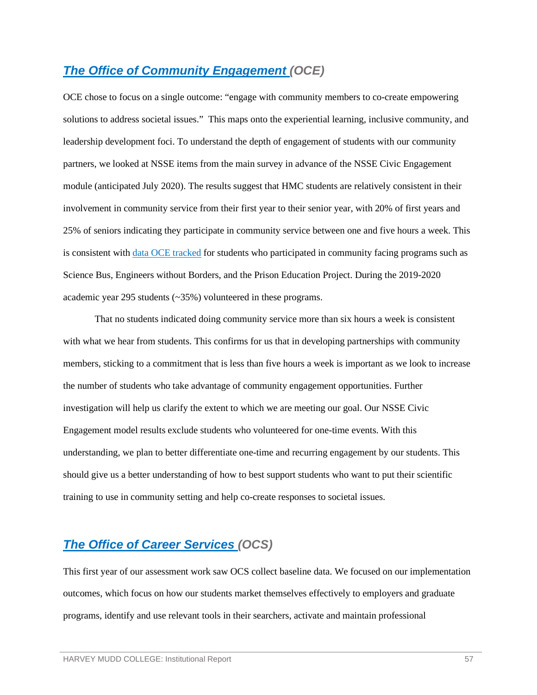## *[The Office of Community Engagement \(](https://wascsenior.box.com/s/2srlqeari3l610kvp3cy2y3cjn1ryudd)OCE)*

OCE chose to focus on a single outcome: "engage with community members to co-create empowering solutions to address societal issues." This maps onto the experiential learning, inclusive community, and leadership development foci. To understand the depth of engagement of students with our community partners, we looked at NSSE items from the main survey in advance of the NSSE Civic Engagement module (anticipated July 2020). The results suggest that HMC students are relatively consistent in their involvement in community service from their first year to their senior year, with 20% of first years and 25% of seniors indicating they participate in community service between one and five hours a week. This is consistent with [data OCE](https://wascsenior.box.com/s/7d02b8ezghvz9z0u0gif7s2bkjgjruhb) tracked for students who participated in community facing programs such as Science Bus, Engineers without Borders, and the Prison Education Project. During the 2019-2020 academic year 295 students (~35%) volunteered in these programs.

That no students indicated doing community service more than six hours a week is consistent with what we hear from students. This confirms for us that in developing partnerships with community members, sticking to a commitment that is less than five hours a week is important as we look to increase the number of students who take advantage of community engagement opportunities. Further investigation will help us clarify the extent to which we are meeting our goal. Our NSSE Civic Engagement model results exclude students who volunteered for one-time events. With this understanding, we plan to better differentiate one-time and recurring engagement by our students. This should give us a better understanding of how to best support students who want to put their scientific training to use in community setting and help co-create responses to societal issues.

## *[The Office of Career Services \(](https://wascsenior.box.com/s/1kqoxx8r6jdcd7asz1k7hpqc7qij7dng)OCS)*

This first year of our assessment work saw OCS collect baseline data. We focused on our implementation outcomes, which focus on how our students market themselves effectively to employers and graduate programs, identify and use relevant tools in their searchers, activate and maintain professional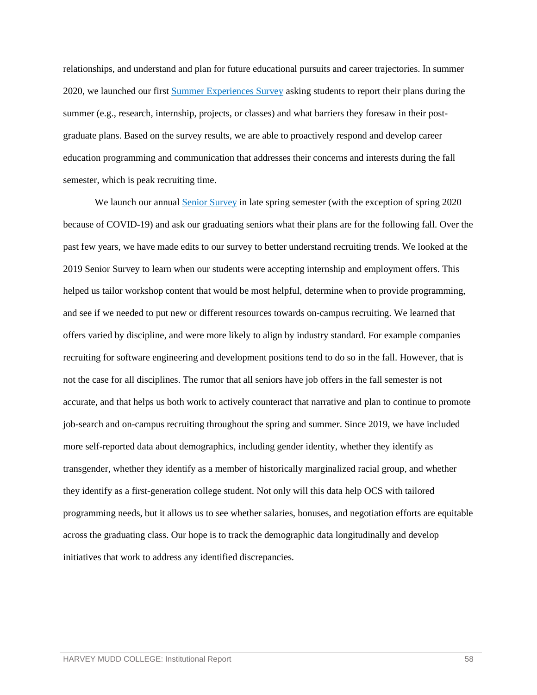relationships, and understand and plan for future educational pursuits and career trajectories. In summer 2020, we launched our first [Summer Experiences Survey](https://wascsenior.box.com/s/xzjzs0b4er48yzig3e6akhze3l5kol16) asking students to report their plans during the summer (e.g., research, internship, projects, or classes) and what barriers they foresaw in their postgraduate plans. Based on the survey results, we are able to proactively respond and develop career education programming and communication that addresses their concerns and interests during the fall semester, which is peak recruiting time.

We launch our annual **Senior Survey** in late spring semester (with the exception of spring 2020 because of COVID-19) and ask our graduating seniors what their plans are for the following fall. Over the past few years, we have made edits to our survey to better understand recruiting trends. We looked at the 2019 Senior Survey to learn when our students were accepting internship and employment offers. This helped us tailor workshop content that would be most helpful, determine when to provide programming, and see if we needed to put new or different resources towards on-campus recruiting. We learned that offers varied by discipline, and were more likely to align by industry standard. For example companies recruiting for software engineering and development positions tend to do so in the fall. However, that is not the case for all disciplines. The rumor that all seniors have job offers in the fall semester is not accurate, and that helps us both work to actively counteract that narrative and plan to continue to promote job-search and on-campus recruiting throughout the spring and summer. Since 2019, we have included more self-reported data about demographics, including gender identity, whether they identify as transgender, whether they identify as a member of historically marginalized racial group, and whether they identify as a first-generation college student. Not only will this data help OCS with tailored programming needs, but it allows us to see whether salaries, bonuses, and negotiation efforts are equitable across the graduating class. Our hope is to track the demographic data longitudinally and develop initiatives that work to address any identified discrepancies.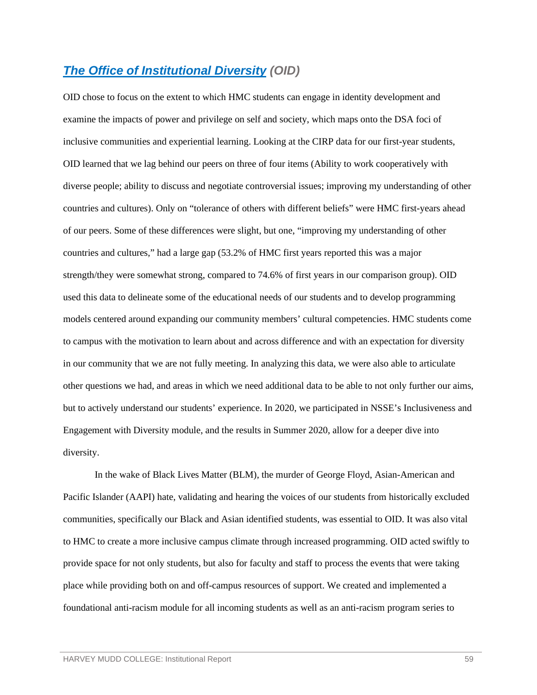### *[The Office of Institutional Diversity](https://wascsenior.box.com/s/uswof0e7v3ysftofu2ue92k5s1c356j4) (OID)*

OID chose to focus on the extent to which HMC students can engage in identity development and examine the impacts of power and privilege on self and society, which maps onto the DSA foci of inclusive communities and experiential learning. Looking at the CIRP data for our first-year students, OID learned that we lag behind our peers on three of four items (Ability to work cooperatively with diverse people; ability to discuss and negotiate controversial issues; improving my understanding of other countries and cultures). Only on "tolerance of others with different beliefs" were HMC first-years ahead of our peers. Some of these differences were slight, but one, "improving my understanding of other countries and cultures," had a large gap (53.2% of HMC first years reported this was a major strength/they were somewhat strong, compared to 74.6% of first years in our comparison group). OID used this data to delineate some of the educational needs of our students and to develop programming models centered around expanding our community members' cultural competencies. HMC students come to campus with the motivation to learn about and across difference and with an expectation for diversity in our community that we are not fully meeting. In analyzing this data, we were also able to articulate other questions we had, and areas in which we need additional data to be able to not only further our aims, but to actively understand our students' experience. In 2020, we participated in NSSE's Inclusiveness and Engagement with Diversity module, and the results in Summer 2020, allow for a deeper dive into diversity.

In the wake of Black Lives Matter (BLM), the murder of George Floyd, Asian-American and Pacific Islander (AAPI) hate, validating and hearing the voices of our students from historically excluded communities, specifically our Black and Asian identified students, was essential to OID. It was also vital to HMC to create a more inclusive campus climate through increased programming. OID acted swiftly to provide space for not only students, but also for faculty and staff to process the events that were taking place while providing both on and off-campus resources of support. We created and implemented a foundational anti-racism module for all incoming students as well as an anti-racism program series to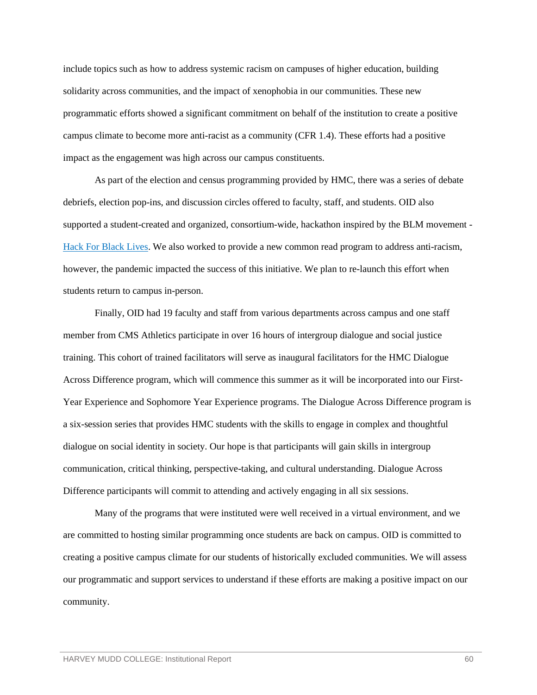include topics such as how to address systemic racism on campuses of higher education, building solidarity across communities, and the impact of xenophobia in our communities. These new programmatic efforts showed a significant commitment on behalf of the institution to create a positive campus climate to become more anti-racist as a community (CFR 1.4). These efforts had a positive impact as the engagement was high across our campus constituents.

As part of the election and census programming provided by HMC, there was a series of debate debriefs, election pop-ins, and discussion circles offered to faculty, staff, and students. OID also supported a student-created and organized, consortium-wide, hackathon inspired by the BLM movement - [Hack For Black Lives.](https://www.hmc.edu/calendar/events/hack-for-black-lives/) We also worked to provide a new common read program to address anti-racism, however, the pandemic impacted the success of this initiative. We plan to re-launch this effort when students return to campus in-person.

Finally, OID had 19 faculty and staff from various departments across campus and one staff member from CMS Athletics participate in over 16 hours of intergroup dialogue and social justice training. This cohort of trained facilitators will serve as inaugural facilitators for the HMC Dialogue Across Difference program, which will commence this summer as it will be incorporated into our First-Year Experience and Sophomore Year Experience programs. The Dialogue Across Difference program is a six-session series that provides HMC students with the skills to engage in complex and thoughtful dialogue on social identity in society. Our hope is that participants will gain skills in intergroup communication, critical thinking, perspective-taking, and cultural understanding. Dialogue Across Difference participants will commit to attending and actively engaging in all six sessions.

Many of the programs that were instituted were well received in a virtual environment, and we are committed to hosting similar programming once students are back on campus. OID is committed to creating a positive campus climate for our students of historically excluded communities. We will assess our programmatic and support services to understand if these efforts are making a positive impact on our community.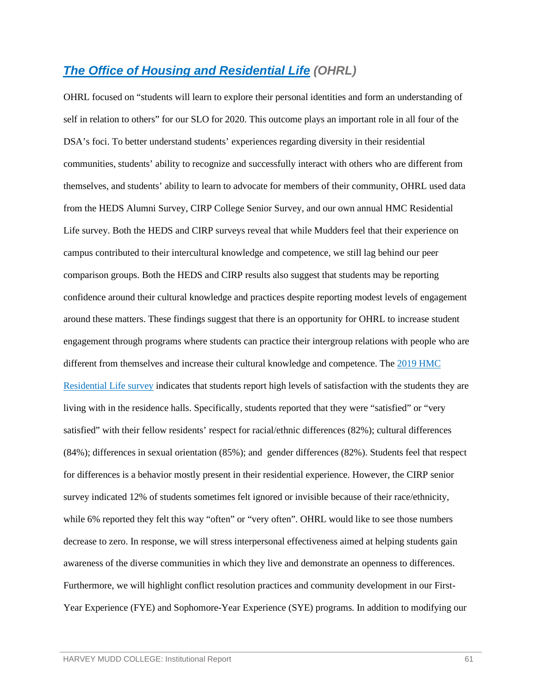## *[The Office of Housing and Residential Life](https://wascsenior.box.com/s/boo6nlpyafdzf0151sqmhe5te301t7q9) (OHRL)*

OHRL focused on "students will learn to explore their personal identities and form an understanding of self in relation to others" for our SLO for 2020. This outcome plays an important role in all four of the DSA's foci. To better understand students' experiences regarding diversity in their residential communities, students' ability to recognize and successfully interact with others who are different from themselves, and students' ability to learn to advocate for members of their community, OHRL used data from the HEDS Alumni Survey, CIRP College Senior Survey, and our own annual HMC Residential Life survey. Both the HEDS and CIRP surveys reveal that while Mudders feel that their experience on campus contributed to their intercultural knowledge and competence, we still lag behind our peer comparison groups. Both the HEDS and CIRP results also suggest that students may be reporting confidence around their cultural knowledge and practices despite reporting modest levels of engagement around these matters. These findings suggest that there is an opportunity for OHRL to increase student engagement through programs where students can practice their intergroup relations with people who are different from themselves and increase their cultural knowledge and competence. The [2019 HMC](https://wascsenior.box.com/s/img3ff3pgd84ipga0n6bbgtfs8lyta3q)  [Residential Life survey](https://wascsenior.box.com/s/img3ff3pgd84ipga0n6bbgtfs8lyta3q) indicates that students report high levels of satisfaction with the students they are living with in the residence halls. Specifically, students reported that they were "satisfied" or "very satisfied" with their fellow residents' respect for racial/ethnic differences (82%); cultural differences (84%); differences in sexual orientation (85%); and gender differences (82%). Students feel that respect for differences is a behavior mostly present in their residential experience. However, the CIRP senior survey indicated 12% of students sometimes felt ignored or invisible because of their race/ethnicity, while 6% reported they felt this way "often" or "very often". OHRL would like to see those numbers decrease to zero. In response, we will stress interpersonal effectiveness aimed at helping students gain awareness of the diverse communities in which they live and demonstrate an openness to differences. Furthermore, we will highlight conflict resolution practices and community development in our First-Year Experience (FYE) and Sophomore-Year Experience (SYE) programs. In addition to modifying our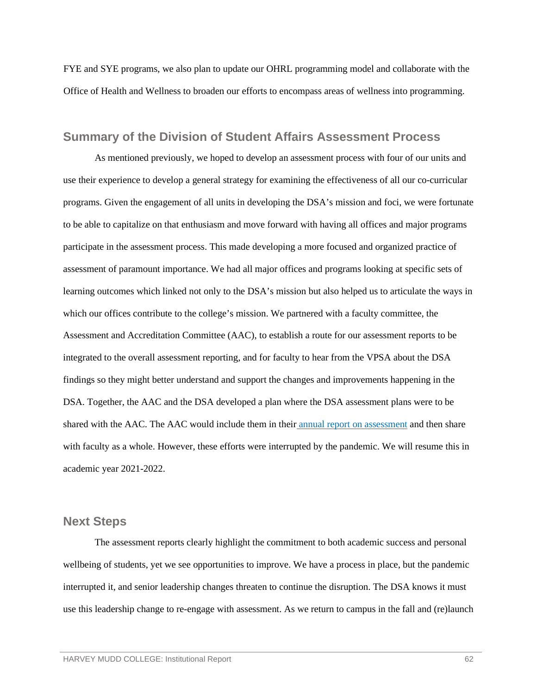FYE and SYE programs, we also plan to update our OHRL programming model and collaborate with the Office of Health and Wellness to broaden our efforts to encompass areas of wellness into programming.

### <span id="page-64-0"></span>**Summary of the Division of Student Affairs Assessment Process**

As mentioned previously, we hoped to develop an assessment process with four of our units and use their experience to develop a general strategy for examining the effectiveness of all our co-curricular programs. Given the engagement of all units in developing the DSA's mission and foci, we were fortunate to be able to capitalize on that enthusiasm and move forward with having all offices and major programs participate in the assessment process. This made developing a more focused and organized practice of assessment of paramount importance. We had all major offices and programs looking at specific sets of learning outcomes which linked not only to the DSA's mission but also helped us to articulate the ways in which our offices contribute to the college's mission. We partnered with a faculty committee, the Assessment and Accreditation Committee (AAC), to establish a route for our assessment reports to be integrated to the overall assessment reporting, and for faculty to hear from the VPSA about the DSA findings so they might better understand and support the changes and improvements happening in the DSA. Together, the AAC and the DSA developed a plan where the DSA assessment plans were to be shared with the AAC. The AAC would include them in their [annual report on assessment](https://wascsenior.box.com/s/v5e7k1b7gk31pwtj931av2n7sadvr964) and then share with faculty as a whole. However, these efforts were interrupted by the pandemic. We will resume this in academic year 2021-2022.

#### <span id="page-64-1"></span>**Next Steps**

The assessment reports clearly highlight the commitment to both academic success and personal wellbeing of students, yet we see opportunities to improve. We have a process in place, but the pandemic interrupted it, and senior leadership changes threaten to continue the disruption. The DSA knows it must use this leadership change to re-engage with assessment. As we return to campus in the fall and (re)launch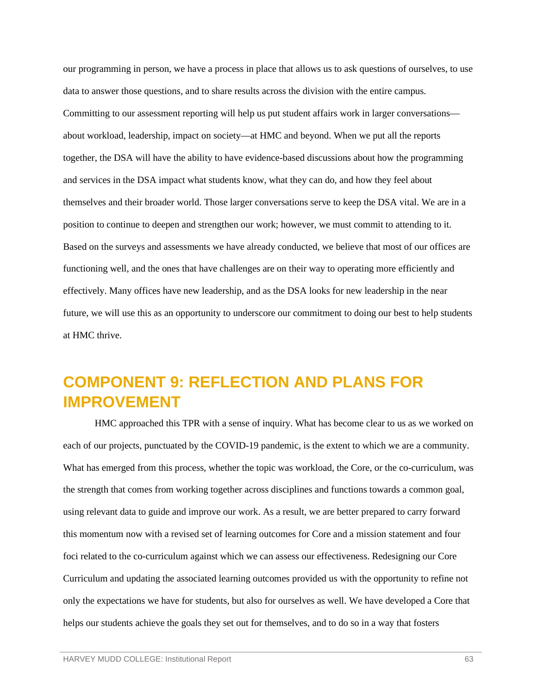our programming in person, we have a process in place that allows us to ask questions of ourselves, to use data to answer those questions, and to share results across the division with the entire campus. Committing to our assessment reporting will help us put student affairs work in larger conversations about workload, leadership, impact on society—at HMC and beyond. When we put all the reports together, the DSA will have the ability to have evidence-based discussions about how the programming and services in the DSA impact what students know, what they can do, and how they feel about themselves and their broader world. Those larger conversations serve to keep the DSA vital. We are in a position to continue to deepen and strengthen our work; however, we must commit to attending to it. Based on the surveys and assessments we have already conducted, we believe that most of our offices are functioning well, and the ones that have challenges are on their way to operating more efficiently and effectively. Many offices have new leadership, and as the DSA looks for new leadership in the near future, we will use this as an opportunity to underscore our commitment to doing our best to help students at HMC thrive.

# <span id="page-65-0"></span>**COMPONENT 9: REFLECTION AND PLANS FOR IMPROVEMENT**

HMC approached this TPR with a sense of inquiry. What has become clear to us as we worked on each of our projects, punctuated by the COVID-19 pandemic, is the extent to which we are a community. What has emerged from this process, whether the topic was workload, the Core, or the co-curriculum, was the strength that comes from working together across disciplines and functions towards a common goal, using relevant data to guide and improve our work. As a result, we are better prepared to carry forward this momentum now with a revised set of learning outcomes for Core and a mission statement and four foci related to the co-curriculum against which we can assess our effectiveness. Redesigning our Core Curriculum and updating the associated learning outcomes provided us with the opportunity to refine not only the expectations we have for students, but also for ourselves as well. We have developed a Core that helps our students achieve the goals they set out for themselves, and to do so in a way that fosters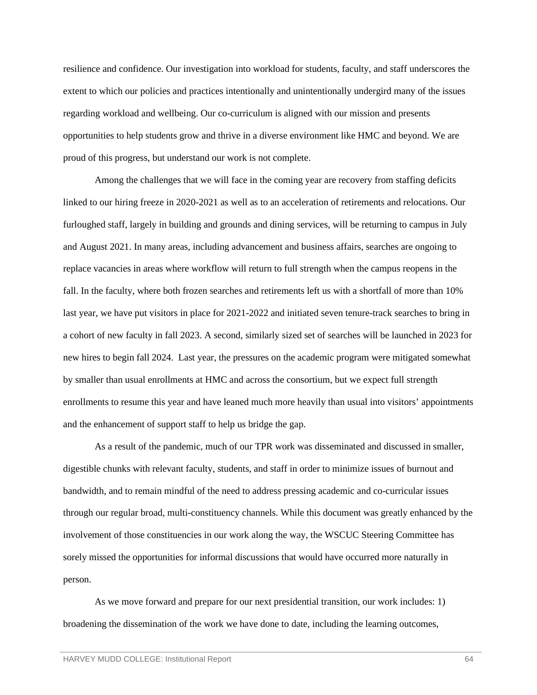resilience and confidence. Our investigation into workload for students, faculty, and staff underscores the extent to which our policies and practices intentionally and unintentionally undergird many of the issues regarding workload and wellbeing. Our co-curriculum is aligned with our mission and presents opportunities to help students grow and thrive in a diverse environment like HMC and beyond. We are proud of this progress, but understand our work is not complete.

Among the challenges that we will face in the coming year are recovery from staffing deficits linked to our hiring freeze in 2020-2021 as well as to an acceleration of retirements and relocations. Our furloughed staff, largely in building and grounds and dining services, will be returning to campus in July and August 2021. In many areas, including advancement and business affairs, searches are ongoing to replace vacancies in areas where workflow will return to full strength when the campus reopens in the fall. In the faculty, where both frozen searches and retirements left us with a shortfall of more than 10% last year, we have put visitors in place for 2021-2022 and initiated seven tenure-track searches to bring in a cohort of new faculty in fall 2023. A second, similarly sized set of searches will be launched in 2023 for new hires to begin fall 2024. Last year, the pressures on the academic program were mitigated somewhat by smaller than usual enrollments at HMC and across the consortium, but we expect full strength enrollments to resume this year and have leaned much more heavily than usual into visitors' appointments and the enhancement of support staff to help us bridge the gap.

As a result of the pandemic, much of our TPR work was disseminated and discussed in smaller, digestible chunks with relevant faculty, students, and staff in order to minimize issues of burnout and bandwidth, and to remain mindful of the need to address pressing academic and co-curricular issues through our regular broad, multi-constituency channels. While this document was greatly enhanced by the involvement of those constituencies in our work along the way, the WSCUC Steering Committee has sorely missed the opportunities for informal discussions that would have occurred more naturally in person.

As we move forward and prepare for our next presidential transition, our work includes: 1) broadening the dissemination of the work we have done to date, including the learning outcomes,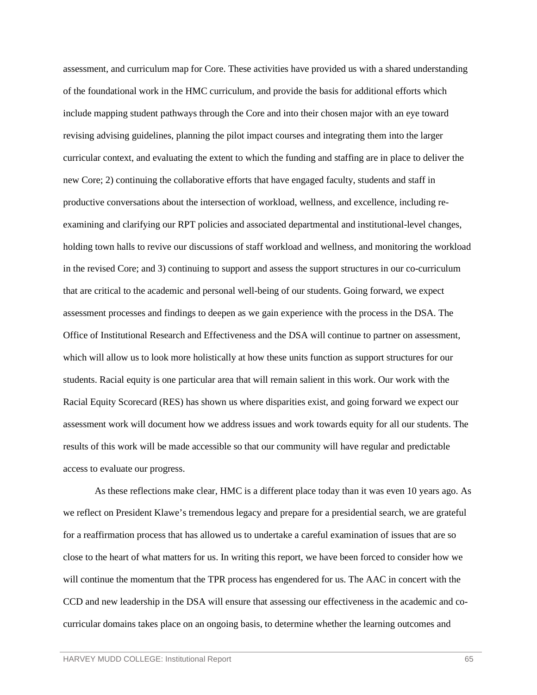assessment, and curriculum map for Core. These activities have provided us with a shared understanding of the foundational work in the HMC curriculum, and provide the basis for additional efforts which include mapping student pathways through the Core and into their chosen major with an eye toward revising advising guidelines, planning the pilot impact courses and integrating them into the larger curricular context, and evaluating the extent to which the funding and staffing are in place to deliver the new Core; 2) continuing the collaborative efforts that have engaged faculty, students and staff in productive conversations about the intersection of workload, wellness, and excellence, including reexamining and clarifying our RPT policies and associated departmental and institutional-level changes, holding town halls to revive our discussions of staff workload and wellness, and monitoring the workload in the revised Core; and 3) continuing to support and assess the support structures in our co-curriculum that are critical to the academic and personal well-being of our students. Going forward, we expect assessment processes and findings to deepen as we gain experience with the process in the DSA. The Office of Institutional Research and Effectiveness and the DSA will continue to partner on assessment, which will allow us to look more holistically at how these units function as support structures for our students. Racial equity is one particular area that will remain salient in this work. Our work with the Racial Equity Scorecard (RES) has shown us where disparities exist, and going forward we expect our assessment work will document how we address issues and work towards equity for all our students. The results of this work will be made accessible so that our community will have regular and predictable access to evaluate our progress.

As these reflections make clear, HMC is a different place today than it was even 10 years ago. As we reflect on President Klawe's tremendous legacy and prepare for a presidential search, we are grateful for a reaffirmation process that has allowed us to undertake a careful examination of issues that are so close to the heart of what matters for us. In writing this report, we have been forced to consider how we will continue the momentum that the TPR process has engendered for us. The AAC in concert with the CCD and new leadership in the DSA will ensure that assessing our effectiveness in the academic and cocurricular domains takes place on an ongoing basis, to determine whether the learning outcomes and